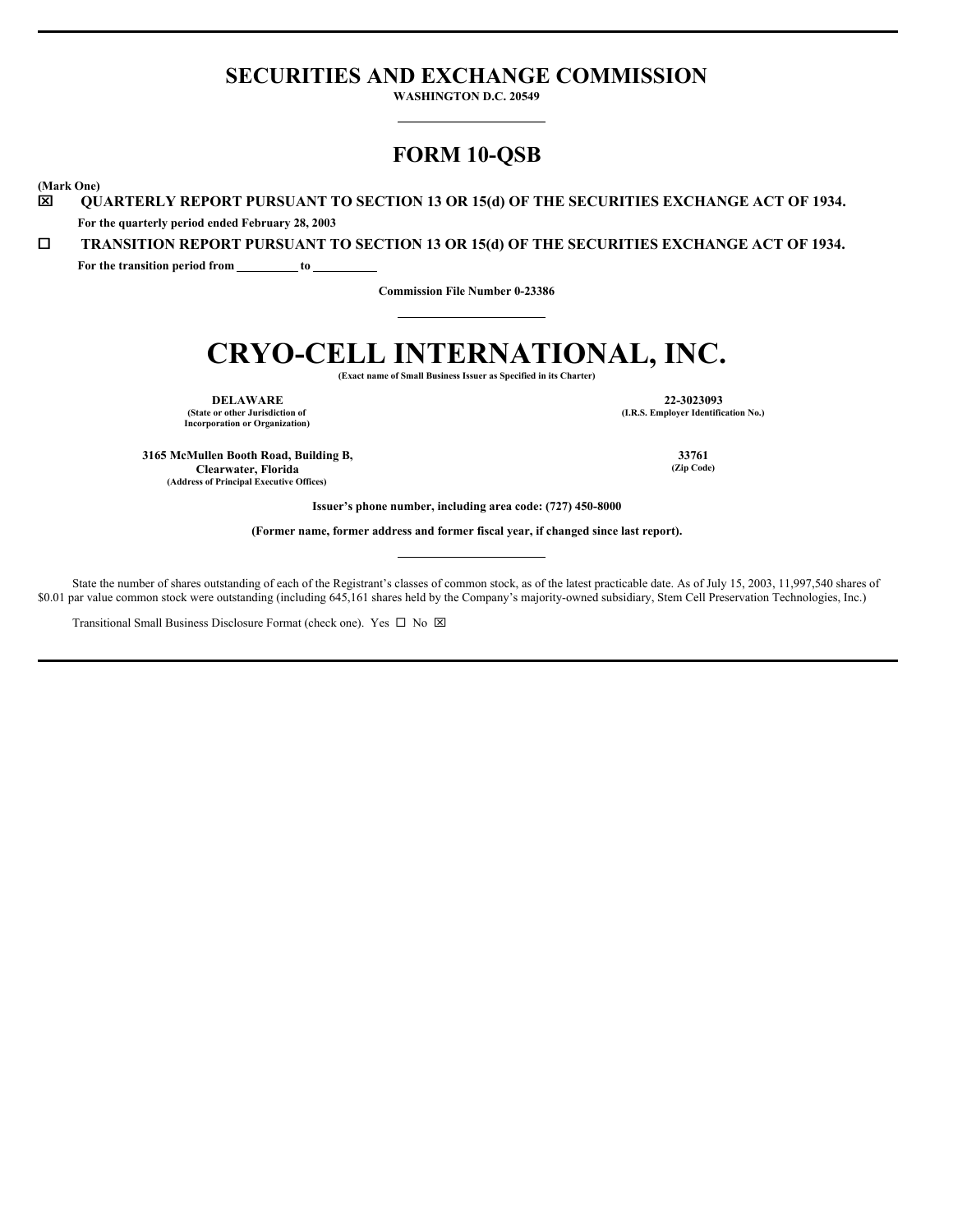# **SECURITIES AND EXCHANGE COMMISSION**

**WASHINGTON D.C. 20549**

# **FORM 10-QSB**

**(Mark One)**

x **QUARTERLY REPORT PURSUANT TO SECTION 13 OR 15(d) OF THE SECURITIES EXCHANGE ACT OF 1934. For the quarterly period ended February 28, 2003**

¨ **TRANSITION REPORT PURSUANT TO SECTION 13 OR 15(d) OF THE SECURITIES EXCHANGE ACT OF 1934.**

**For the transition period from to**

**Commission File Number 0-23386**

# **CRYO-CELL INTERNATIONAL, INC. (Exact name of Small Business Issuer as Specified in its Charter)**

**DELAWARE**

**(State or other Jurisdiction of Incorporation or Organization)**

**3165 McMullen Booth Road, Building B, Clearwater, Florida (Address of Principal Executive Offices)**

**22-3023093 (I.R.S. Employer Identification No.)**

> **33761 (Zip Code)**

**Issuer's phone number, including area code: (727) 450-8000**

**(Former name, former address and former fiscal year, if changed since last report).**

State the number of shares outstanding of each of the Registrant's classes of common stock, as of the latest practicable date. As of July 15, 2003, 11,997,540 shares of \$0.01 par value common stock were outstanding (including 645,161 shares held by the Company's majority-owned subsidiary, Stem Cell Preservation Technologies, Inc.)

Transitional Small Business Disclosure Format (check one). Yes  $\square$  No  $\square$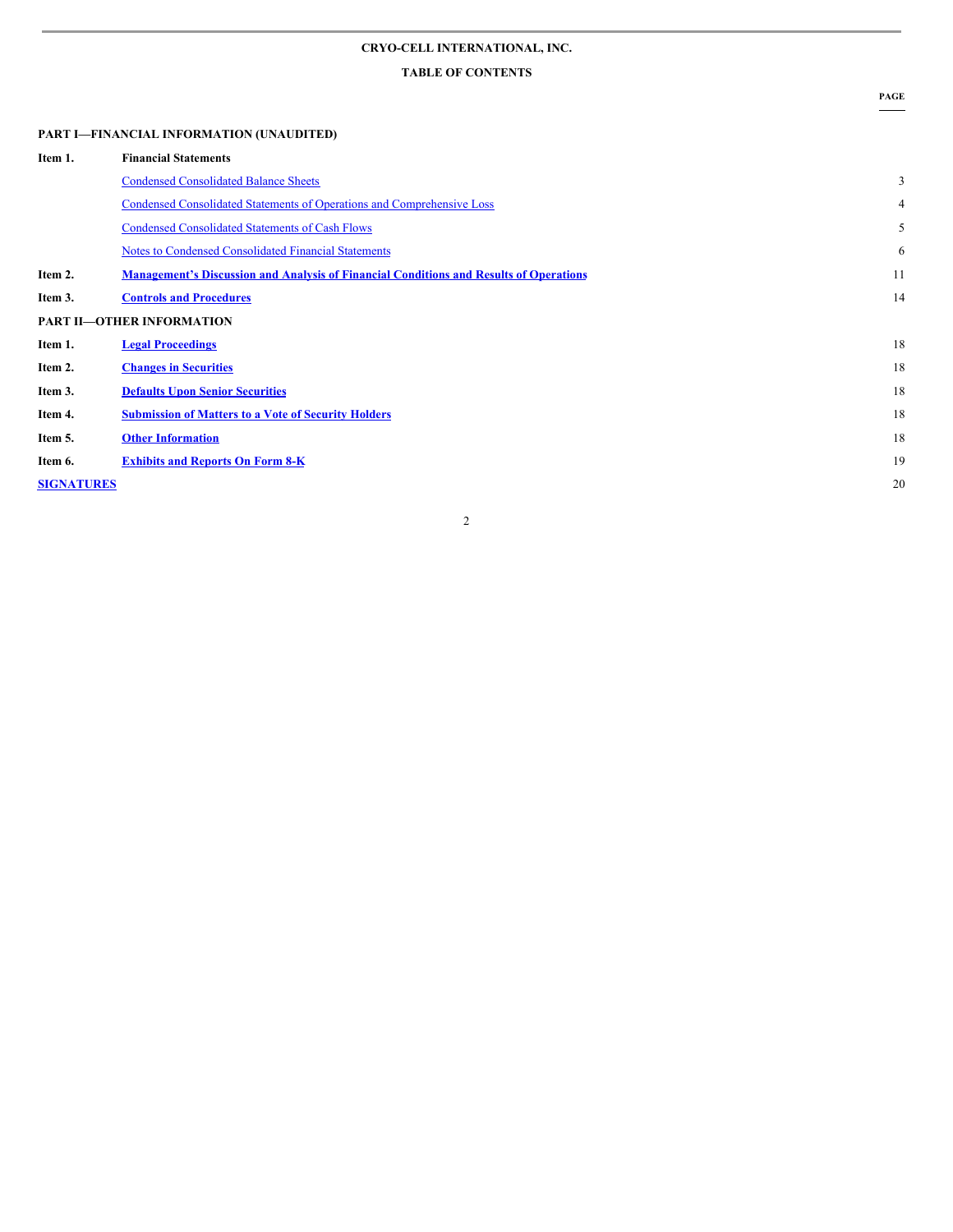# **CRYO-CELL INTERNATIONAL, INC.**

# **TABLE OF CONTENTS**

# **PART I—FINANCIAL INFORMATION (UNAUDITED)**

| Item 1.           | <b>Financial Statements</b>                                                                   |    |
|-------------------|-----------------------------------------------------------------------------------------------|----|
|                   | <b>Condensed Consolidated Balance Sheets</b>                                                  | 3  |
|                   | <b>Condensed Consolidated Statements of Operations and Comprehensive Loss</b>                 | 4  |
|                   | <b>Condensed Consolidated Statements of Cash Flows</b>                                        | 5  |
|                   | Notes to Condensed Consolidated Financial Statements                                          | 6  |
| Item 2.           | <b>Management's Discussion and Analysis of Financial Conditions and Results of Operations</b> | 11 |
| Item 3.           | <b>Controls and Procedures</b>                                                                | 14 |
|                   | <b>PART II-OTHER INFORMATION</b>                                                              |    |
| Item 1.           | <b>Legal Proceedings</b>                                                                      | 18 |
| Item 2.           | <b>Changes in Securities</b>                                                                  | 18 |
| Item 3.           | <b>Defaults Upon Senior Securities</b>                                                        | 18 |
| Item 4.           | <b>Submission of Matters to a Vote of Security Holders</b>                                    | 18 |
| Item 5.           | <b>Other Information</b>                                                                      | 18 |
| Item 6.           | <b>Exhibits and Reports On Form 8-K</b>                                                       | 19 |
| <b>SIGNATURES</b> |                                                                                               | 20 |

# 2

**PAGE**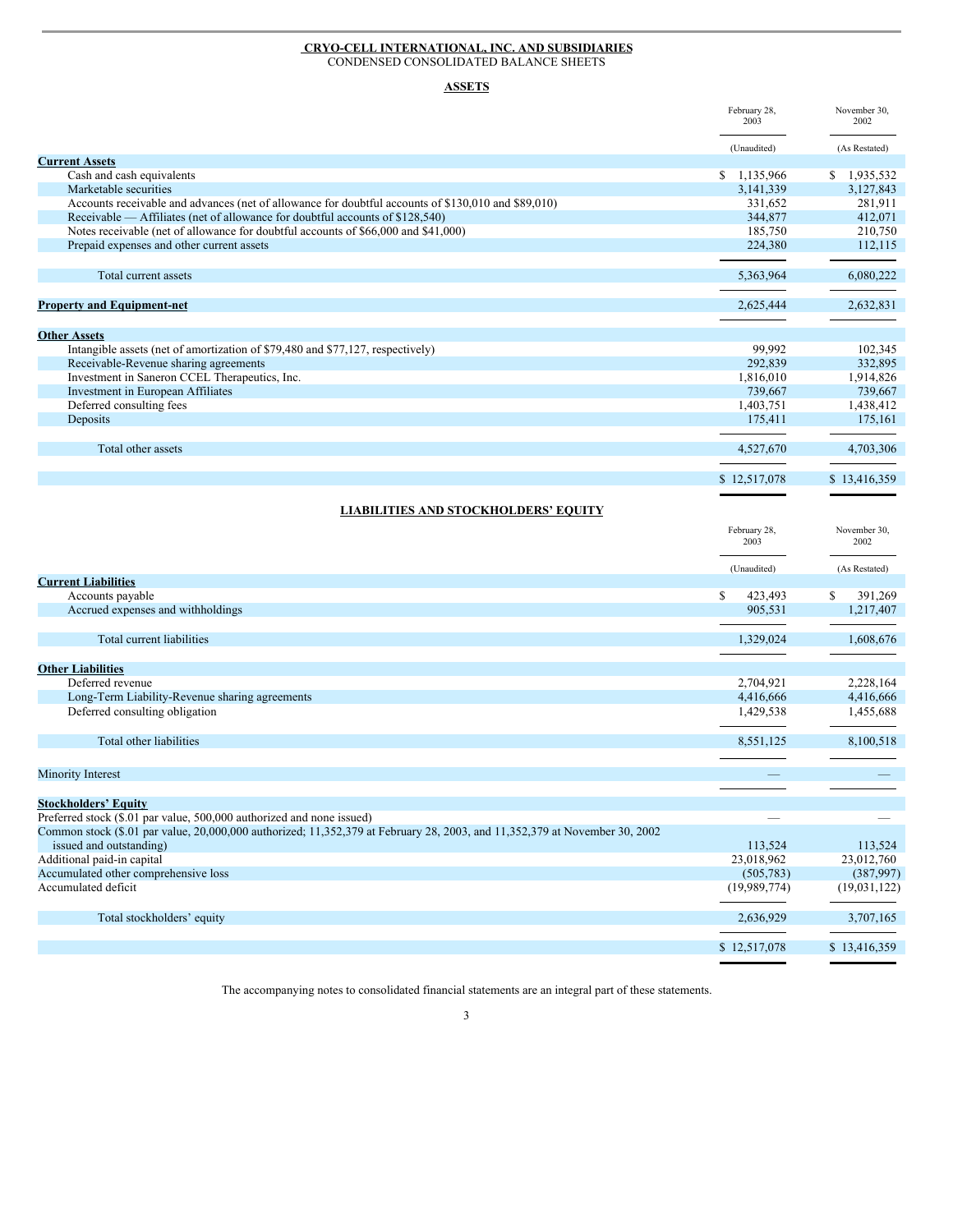#### <span id="page-2-0"></span>**CRYO-CELL INTERNATIONAL, INC. AND SUBSIDIARIES** CONDENSED CONSOLIDATED BALANCE SHEETS

# **ASSETS**

|                                                                                                                            | February 28,<br>2003     | November 30,<br>2002     |
|----------------------------------------------------------------------------------------------------------------------------|--------------------------|--------------------------|
|                                                                                                                            | (Unaudited)              | (As Restated)            |
| <b>Current Assets</b>                                                                                                      |                          |                          |
| Cash and cash equivalents                                                                                                  | \$1,135,966              | \$1,935,532              |
| Marketable securities                                                                                                      | 3,141,339                | 3,127,843                |
| Accounts receivable and advances (net of allowance for doubtful accounts of \$130,010 and \$89,010)                        | 331,652                  | 281,911                  |
| Receivable — Affiliates (net of allowance for doubtful accounts of \$128,540)                                              | 344,877                  | 412,071                  |
| Notes receivable (net of allowance for doubtful accounts of \$66,000 and \$41,000)                                         | 185,750                  | 210,750                  |
| Prepaid expenses and other current assets                                                                                  | 224,380                  | 112,115                  |
|                                                                                                                            |                          |                          |
| Total current assets                                                                                                       | 5,363,964                | 6.080.222                |
|                                                                                                                            |                          |                          |
| <b>Property and Equipment-net</b>                                                                                          | 2,625,444                | 2,632,831                |
|                                                                                                                            |                          |                          |
| <b>Other Assets</b>                                                                                                        |                          |                          |
| Intangible assets (net of amortization of \$79,480 and \$77,127, respectively)                                             | 99,992                   | 102,345                  |
| Receivable-Revenue sharing agreements                                                                                      | 292,839                  | 332,895                  |
| Investment in Saneron CCEL Therapeutics, Inc.                                                                              | 1,816,010                | 1,914,826                |
| Investment in European Affiliates                                                                                          | 739,667                  | 739,667                  |
|                                                                                                                            | 1,403,751                |                          |
| Deferred consulting fees                                                                                                   |                          | 1,438,412                |
| Deposits                                                                                                                   | 175,411                  | 175,161                  |
| Total other assets                                                                                                         | 4,527,670                | 4,703,306                |
|                                                                                                                            |                          |                          |
|                                                                                                                            | \$12,517,078             | \$13,416,359             |
|                                                                                                                            |                          |                          |
| <b>LIABILITIES AND STOCKHOLDERS' EQUITY</b>                                                                                |                          |                          |
|                                                                                                                            | February 28,             | November 30,             |
|                                                                                                                            | 2003                     | 2002                     |
|                                                                                                                            |                          |                          |
| <b>Current Liabilities</b>                                                                                                 | (Unaudited)              | (As Restated)            |
| Accounts payable                                                                                                           |                          |                          |
|                                                                                                                            |                          |                          |
|                                                                                                                            | S.<br>423,493            | \$<br>391,269            |
| Accrued expenses and withholdings                                                                                          | 905,531                  | 1,217,407                |
| Total current liabilities                                                                                                  | 1,329,024                | 1,608,676                |
|                                                                                                                            |                          |                          |
| <b>Other Liabilities</b>                                                                                                   |                          |                          |
| Deferred revenue                                                                                                           | 2,704,921                | 2,228,164                |
| Long-Term Liability-Revenue sharing agreements                                                                             | 4,416,666                | 4,416,666                |
| Deferred consulting obligation                                                                                             | 1,429,538                | 1,455,688                |
|                                                                                                                            |                          |                          |
| Total other liabilities                                                                                                    | 8,551,125                | 8,100,518                |
|                                                                                                                            |                          |                          |
| Minority Interest                                                                                                          | $\overline{\phantom{0}}$ | $\overline{\phantom{m}}$ |
|                                                                                                                            |                          |                          |
| <b>Stockholders' Equity</b>                                                                                                |                          |                          |
| Preferred stock (\$.01 par value, 500,000 authorized and none issued)                                                      |                          |                          |
| Common stock (\$.01 par value, 20,000,000 authorized; 11,352,379 at February 28, 2003, and 11,352,379 at November 30, 2002 |                          |                          |
| issued and outstanding)                                                                                                    | 113,524                  | 113,524                  |
| Additional paid-in capital                                                                                                 | 23,018,962               | 23,012,760               |
| Accumulated other comprehensive loss                                                                                       | (505, 783)               | (387,997)                |
| Accumulated deficit                                                                                                        | (19,989,774)             | (19,031,122)             |
|                                                                                                                            |                          |                          |
| Total stockholders' equity                                                                                                 | 2,636,929                | 3,707,165                |
|                                                                                                                            | \$12,517,078             | \$13,416,359             |

The accompanying notes to consolidated financial statements are an integral part of these statements.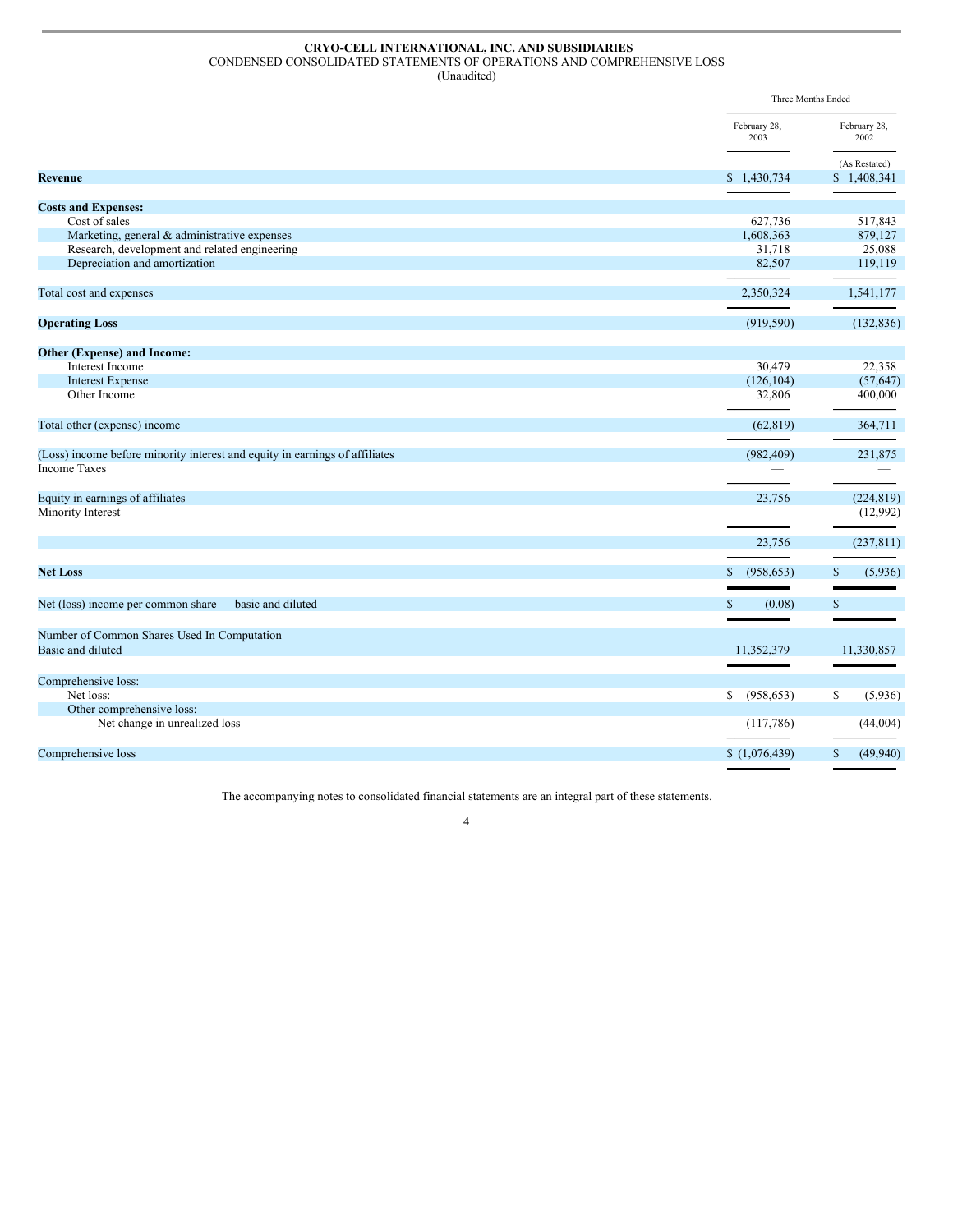#### <span id="page-3-0"></span>**CRYO-CELL INTERNATIONAL, INC. AND SUBSIDIARIES**

CONDENSED CONSOLIDATED STATEMENTS OF OPERATIONS AND COMPREHENSIVE LOSS

(Unaudited)

|                                                                             |                          | Three Months Ended       |  |
|-----------------------------------------------------------------------------|--------------------------|--------------------------|--|
|                                                                             | February 28,<br>2003     | February 28,<br>2002     |  |
|                                                                             |                          | (As Restated)            |  |
| Revenue                                                                     | \$1,430,734              | \$1,408,341              |  |
| <b>Costs and Expenses:</b>                                                  |                          |                          |  |
| Cost of sales                                                               | 627,736                  | 517,843                  |  |
| Marketing, general & administrative expenses                                | 1,608,363                | 879,127                  |  |
| Research, development and related engineering                               | 31,718                   | 25,088                   |  |
| Depreciation and amortization                                               | 82,507                   | 119,119                  |  |
| Total cost and expenses                                                     | 2,350,324                | 1,541,177                |  |
|                                                                             |                          |                          |  |
| <b>Operating Loss</b>                                                       | (919, 590)               | (132, 836)               |  |
|                                                                             |                          |                          |  |
| Other (Expense) and Income:<br>Interest Income                              | 30,479                   | 22,358                   |  |
| <b>Interest Expense</b>                                                     | (126, 104)               | (57, 647)                |  |
| Other Income                                                                | 32,806                   | 400,000                  |  |
|                                                                             |                          |                          |  |
| Total other (expense) income                                                | (62, 819)                | 364,711                  |  |
| (Loss) income before minority interest and equity in earnings of affiliates | (982, 409)               | 231,875                  |  |
| <b>Income Taxes</b>                                                         |                          |                          |  |
| Equity in earnings of affiliates                                            | 23,756                   | (224, 819)               |  |
| Minority Interest                                                           | $\overline{\phantom{m}}$ | (12,992)                 |  |
|                                                                             |                          |                          |  |
|                                                                             | 23,756                   | (237, 811)               |  |
| <b>Net Loss</b>                                                             | (958, 653)<br>\$         | $\mathbf S$<br>(5,936)   |  |
|                                                                             |                          |                          |  |
| Net (loss) income per common share — basic and diluted                      | $\mathcal{S}$<br>(0.08)  | $\mathbf{s}$             |  |
|                                                                             |                          |                          |  |
| Number of Common Shares Used In Computation                                 |                          |                          |  |
| Basic and diluted                                                           | 11,352,379               | 11,330,857               |  |
| Comprehensive loss:                                                         |                          |                          |  |
| Net loss:                                                                   | \$ (958, 653)            | \$<br>(5,936)            |  |
| Other comprehensive loss:                                                   |                          |                          |  |
| Net change in unrealized loss                                               | (117,786)                | (44,004)                 |  |
|                                                                             |                          |                          |  |
| Comprehensive loss                                                          | \$(1,076,439)            | $\mathbb{S}$<br>(49,940) |  |

The accompanying notes to consolidated financial statements are an integral part of these statements.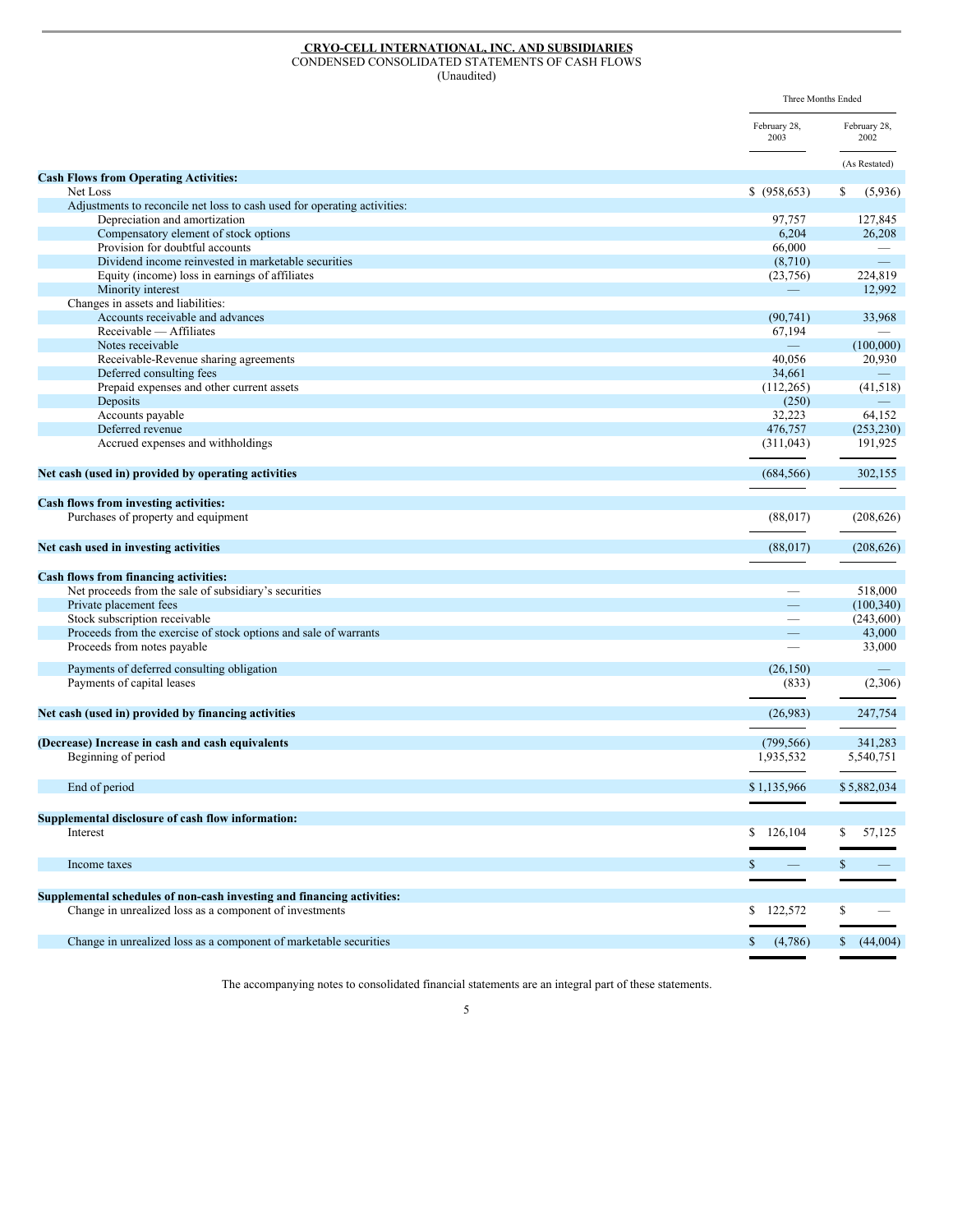#### <span id="page-4-0"></span>**CRYO-CELL INTERNATIONAL, INC. AND SUBSIDIARIES** CONDENSED CONSOLIDATED STATEMENTS OF CASH FLOWS (Unaudited)

|                                                                          |                          | Three Months Ended   |  |
|--------------------------------------------------------------------------|--------------------------|----------------------|--|
|                                                                          | February 28,<br>2003     | February 28,<br>2002 |  |
|                                                                          |                          | (As Restated)        |  |
| <b>Cash Flows from Operating Activities:</b>                             |                          |                      |  |
| Net Loss                                                                 | $$$ (958,653)            | \$<br>(5,936)        |  |
| Adjustments to reconcile net loss to cash used for operating activities: |                          |                      |  |
| Depreciation and amortization                                            | 97,757                   | 127,845              |  |
| Compensatory element of stock options                                    | 6,204                    | 26,208               |  |
| Provision for doubtful accounts                                          | 66,000                   | $\equiv$             |  |
| Dividend income reinvested in marketable securities                      | (8,710)                  |                      |  |
| Equity (income) loss in earnings of affiliates<br>Minority interest      | (23,756)                 | 224,819<br>12,992    |  |
| Changes in assets and liabilities:                                       |                          |                      |  |
| Accounts receivable and advances                                         | (90, 741)                | 33,968               |  |
| Receivable — Affiliates                                                  | 67,194                   |                      |  |
| Notes receivable                                                         | $\qquad \qquad -$        | (100,000)            |  |
| Receivable-Revenue sharing agreements                                    | 40,056                   | 20,930               |  |
| Deferred consulting fees                                                 | 34,661                   |                      |  |
| Prepaid expenses and other current assets                                | (112, 265)               | (41, 518)            |  |
| Deposits                                                                 | (250)                    | $\equiv$             |  |
| Accounts payable                                                         | 32,223                   | 64,152               |  |
| Deferred revenue                                                         | 476,757                  | (253, 230)           |  |
| Accrued expenses and withholdings                                        | (311,043)                | 191,925              |  |
|                                                                          |                          |                      |  |
| Net cash (used in) provided by operating activities                      | (684, 566)               | 302,155              |  |
| Cash flows from investing activities:                                    |                          |                      |  |
| Purchases of property and equipment                                      | (88,017)                 | (208, 626)           |  |
| Net cash used in investing activities                                    | (88,017)                 | (208, 626)           |  |
| Cash flows from financing activities:                                    |                          |                      |  |
| Net proceeds from the sale of subsidiary's securities                    |                          | 518,000              |  |
| Private placement fees                                                   |                          | (100, 340)           |  |
| Stock subscription receivable                                            | $\overline{\phantom{0}}$ | (243,600)            |  |
| Proceeds from the exercise of stock options and sale of warrants         |                          | 43,000               |  |
| Proceeds from notes payable                                              |                          | 33,000               |  |
| Payments of deferred consulting obligation                               | (26, 150)                |                      |  |
| Payments of capital leases                                               | (833)                    | (2,306)              |  |
|                                                                          |                          |                      |  |
| Net cash (used in) provided by financing activities                      | (26,983)                 | 247,754              |  |
|                                                                          |                          |                      |  |
| (Decrease) Increase in cash and cash equivalents<br>Beginning of period  | (799, 566)<br>1,935,532  | 341,283<br>5,540,751 |  |
|                                                                          |                          |                      |  |
| End of period                                                            | \$1.135,966              | \$5.882.034          |  |
|                                                                          |                          |                      |  |
| Supplemental disclosure of cash flow information:                        |                          |                      |  |
| Interest                                                                 | \$126,104                | 57,125<br>S          |  |
|                                                                          |                          |                      |  |
| Income taxes                                                             |                          | S                    |  |
|                                                                          |                          |                      |  |
| Supplemental schedules of non-cash investing and financing activities:   |                          |                      |  |
| Change in unrealized loss as a component of investments                  | \$ 122,572               | S                    |  |
|                                                                          |                          |                      |  |
| Change in unrealized loss as a component of marketable securities        | (4,786)<br>S.            | \$(44,004)           |  |

The accompanying notes to consolidated financial statements are an integral part of these statements.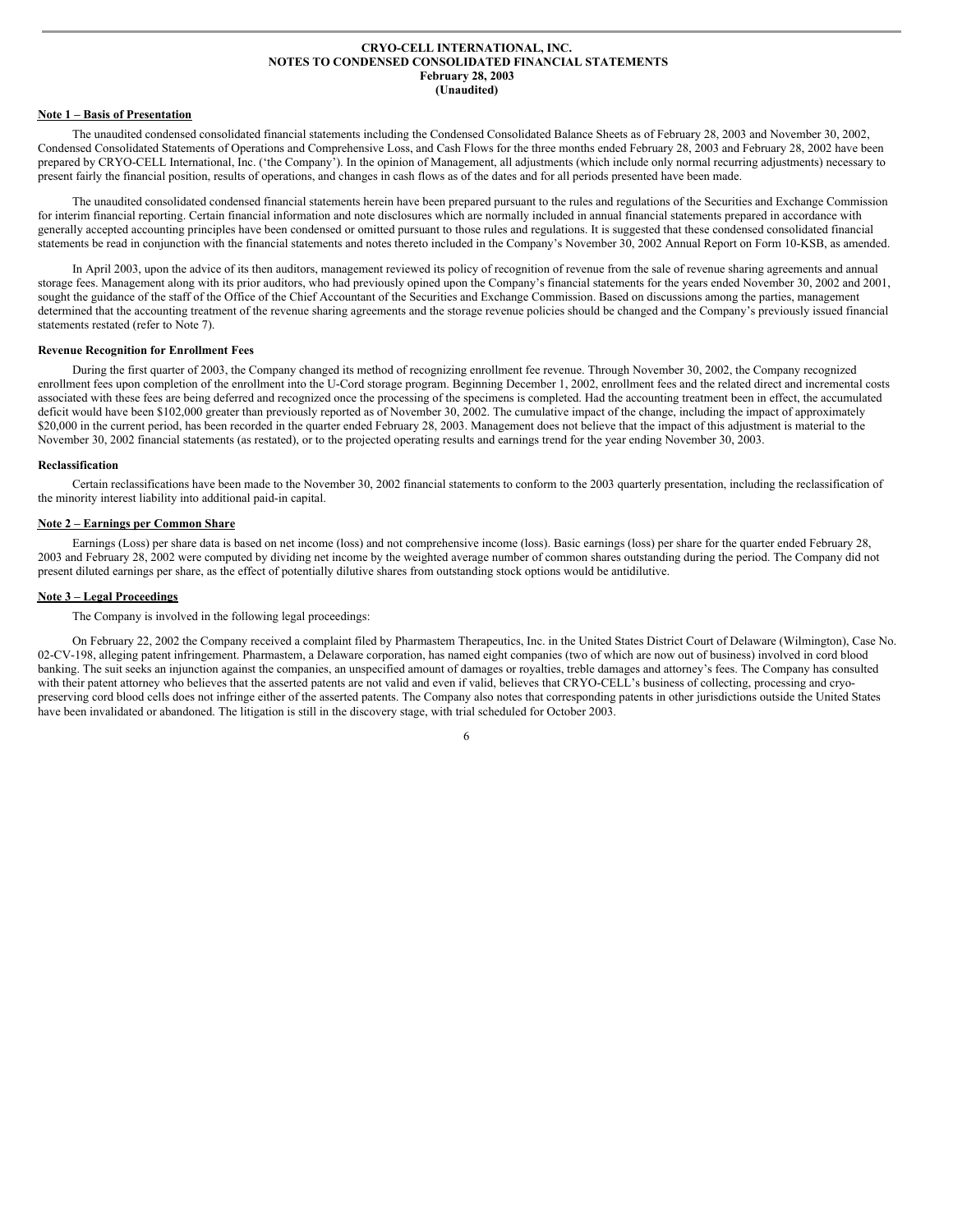#### **CRYO-CELL INTERNATIONAL, INC. NOTES TO CONDENSED CONSOLIDATED FINANCIAL STATEMENTS February 28, 2003 (Unaudited)**

#### **Note 1 – Basis of Presentation**

The unaudited condensed consolidated financial statements including the Condensed Consolidated Balance Sheets as of February 28, 2003 and November 30, 2002, Condensed Consolidated Statements of Operations and Comprehensive Loss, and Cash Flows for the three months ended February 28, 2003 and February 28, 2002 have been prepared by CRYO-CELL International, Inc. ('the Company'). In the opinion of Management, all adjustments (which include only normal recurring adjustments) necessary to present fairly the financial position, results of operations, and changes in cash flows as of the dates and for all periods presented have been made.

The unaudited consolidated condensed financial statements herein have been prepared pursuant to the rules and regulations of the Securities and Exchange Commission for interim financial reporting. Certain financial information and note disclosures which are normally included in annual financial statements prepared in accordance with generally accepted accounting principles have been condensed or omitted pursuant to those rules and regulations. It is suggested that these condensed consolidated financial statements be read in conjunction with the financial statements and notes thereto included in the Company's November 30, 2002 Annual Report on Form 10-KSB, as amended.

In April 2003, upon the advice of its then auditors, management reviewed its policy of recognition of revenue from the sale of revenue sharing agreements and annual storage fees. Management along with its prior auditors, who had previously opined upon the Company's financial statements for the years ended November 30, 2002 and 2001, sought the guidance of the staff of the Office of the Chief Accountant of the Securities and Exchange Commission. Based on discussions among the parties, management determined that the accounting treatment of the revenue sharing agreements and the storage revenue policies should be changed and the Company's previously issued financial statements restated (refer to Note 7).

#### **Revenue Recognition for Enrollment Fees**

During the first quarter of 2003, the Company changed its method of recognizing enrollment fee revenue. Through November 30, 2002, the Company recognized enrollment fees upon completion of the enrollment into the U-Cord storage program. Beginning December 1, 2002, enrollment fees and the related direct and incremental costs associated with these fees are being deferred and recognized once the processing of the specimens is completed. Had the accounting treatment been in effect, the accumulated deficit would have been \$102,000 greater than previously reported as of November 30, 2002. The cumulative impact of the change, including the impact of approximately \$20,000 in the current period, has been recorded in the quarter ended February 28, 2003. Management does not believe that the impact of this adjustment is material to the November 30, 2002 financial statements (as restated), or to the projected operating results and earnings trend for the year ending November 30, 2003.

### **Reclassification**

Certain reclassifications have been made to the November 30, 2002 financial statements to conform to the 2003 quarterly presentation, including the reclassification of the minority interest liability into additional paid-in capital.

#### **Note 2 – Earnings per Common Share**

Earnings (Loss) per share data is based on net income (loss) and not comprehensive income (loss). Basic earnings (loss) per share for the quarter ended February 28, 2003 and February 28, 2002 were computed by dividing net income by the weighted average number of common shares outstanding during the period. The Company did not present diluted earnings per share, as the effect of potentially dilutive shares from outstanding stock options would be antidilutive.

#### **Note 3 – Legal Proceedings**

The Company is involved in the following legal proceedings:

On February 22, 2002 the Company received a complaint filed by Pharmastem Therapeutics, Inc. in the United States District Court of Delaware (Wilmington), Case No. 02-CV-198, alleging patent infringement. Pharmastem, a Delaware corporation, has named eight companies (two of which are now out of business) involved in cord blood banking. The suit seeks an injunction against the companies, an unspecified amount of damages or royalties, treble damages and attorney's fees. The Company has consulted with their patent attorney who believes that the asserted patents are not valid and even if valid, believes that CRYO-CELL's business of collecting, processing and cryopreserving cord blood cells does not infringe either of the asserted patents. The Company also notes that corresponding patents in other jurisdictions outside the United States have been invalidated or abandoned. The litigation is still in the discovery stage, with trial scheduled for October 2003.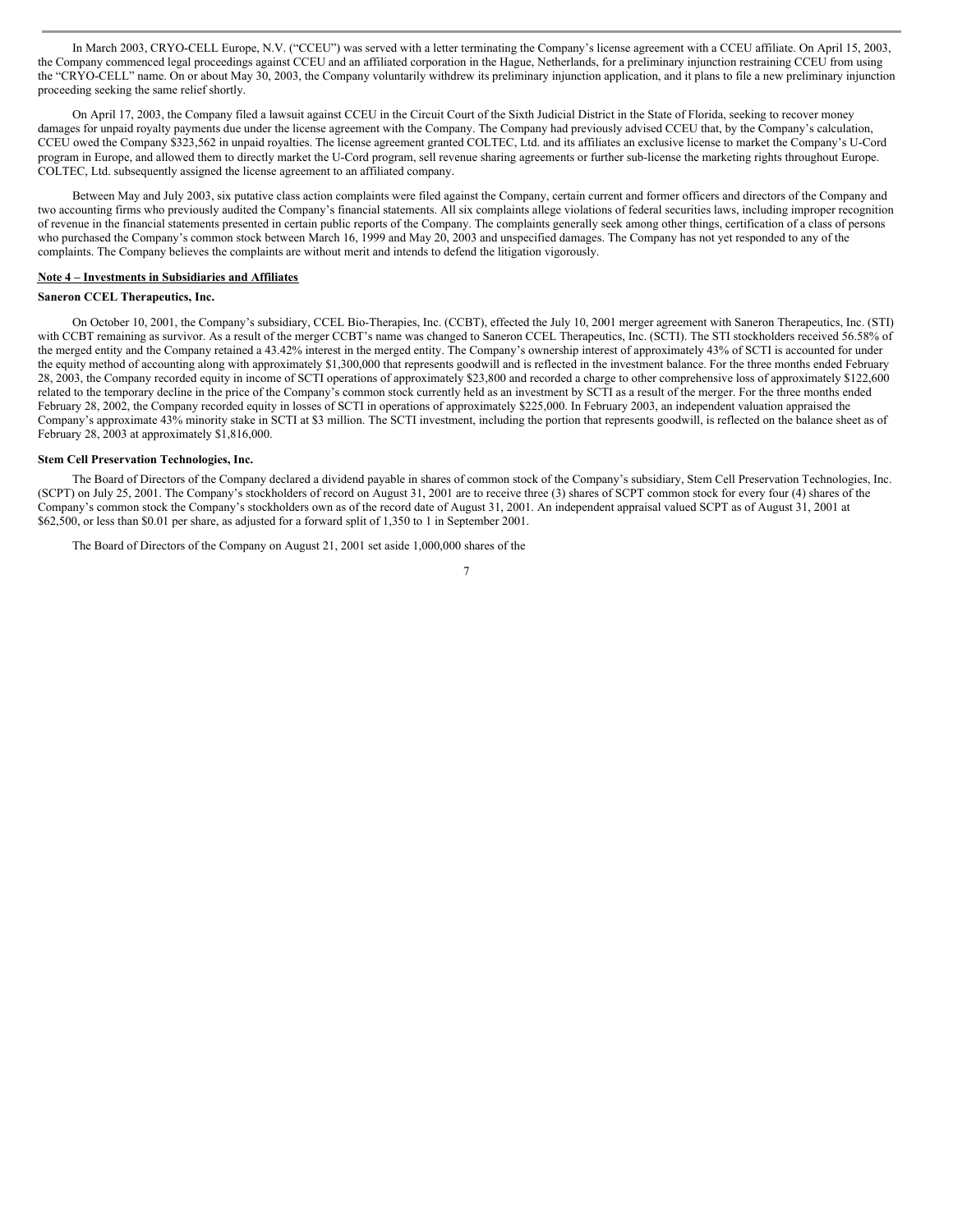In March 2003, CRYO-CELL Europe, N.V. ("CCEU") was served with a letter terminating the Company's license agreement with a CCEU affiliate. On April 15, 2003, the Company commenced legal proceedings against CCEU and an affiliated corporation in the Hague, Netherlands, for a preliminary injunction restraining CCEU from using the "CRYO-CELL" name. On or about May 30, 2003, the Company voluntarily withdrew its preliminary injunction application, and it plans to file a new preliminary injunction proceeding seeking the same relief shortly.

On April 17, 2003, the Company filed a lawsuit against CCEU in the Circuit Court of the Sixth Judicial District in the State of Florida, seeking to recover money damages for unpaid royalty payments due under the license agreement with the Company. The Company had previously advised CCEU that, by the Company's calculation, CCEU owed the Company \$323,562 in unpaid royalties. The license agreement granted COLTEC, Ltd. and its affiliates an exclusive license to market the Company's U-Cord program in Europe, and allowed them to directly market the U-Cord program, sell revenue sharing agreements or further sub-license the marketing rights throughout Europe. COLTEC, Ltd. subsequently assigned the license agreement to an affiliated company.

Between May and July 2003, six putative class action complaints were filed against the Company, certain current and former officers and directors of the Company and two accounting firms who previously audited the Company's financial statements. All six complaints allege violations of federal securities laws, including improper recognition of revenue in the financial statements presented in certain public reports of the Company. The complaints generally seek among other things, certification of a class of persons who purchased the Company's common stock between March 16, 1999 and May 20, 2003 and unspecified damages. The Company has not yet responded to any of the complaints. The Company believes the complaints are without merit and intends to defend the litigation vigorously.

#### **Note 4 – Investments in Subsidiaries and Affiliates**

# **Saneron CCEL Therapeutics, Inc.**

On October 10, 2001, the Company's subsidiary, CCEL Bio-Therapies, Inc. (CCBT), effected the July 10, 2001 merger agreement with Saneron Therapeutics, Inc. (STI) with CCBT remaining as survivor. As a result of the merger CCBT's name was changed to Saneron CCEL Therapeutics, Inc. (SCTI). The STI stockholders received 56.58% of the merged entity and the Company retained a 43.42% interest in the merged entity. The Company's ownership interest of approximately 43% of SCTI is accounted for under the equity method of accounting along with approximately \$1,300,000 that represents goodwill and is reflected in the investment balance. For the three months ended February 28, 2003, the Company recorded equity in income of SCTI operations of approximately \$23,800 and recorded a charge to other comprehensive loss of approximately \$122,600 related to the temporary decline in the price of the Company's common stock currently held as an investment by SCTI as a result of the merger. For the three months ended February 28, 2002, the Company recorded equity in losses of SCTI in operations of approximately \$225,000. In February 2003, an independent valuation appraised the Company's approximate 43% minority stake in SCTI at \$3 million. The SCTI investment, including the portion that represents goodwill, is reflected on the balance sheet as of February 28, 2003 at approximately \$1,816,000.

# **Stem Cell Preservation Technologies, Inc.**

The Board of Directors of the Company declared a dividend payable in shares of common stock of the Company's subsidiary, Stem Cell Preservation Technologies, Inc. (SCPT) on July 25, 2001. The Company's stockholders of record on August 31, 2001 are to receive three (3) shares of SCPT common stock for every four (4) shares of the Company's common stock the Company's stockholders own as of the record date of August 31, 2001. An independent appraisal valued SCPT as of August 31, 2001 at \$62,500, or less than \$0.01 per share, as adjusted for a forward split of 1,350 to 1 in September 2001.

The Board of Directors of the Company on August 21, 2001 set aside 1,000,000 shares of the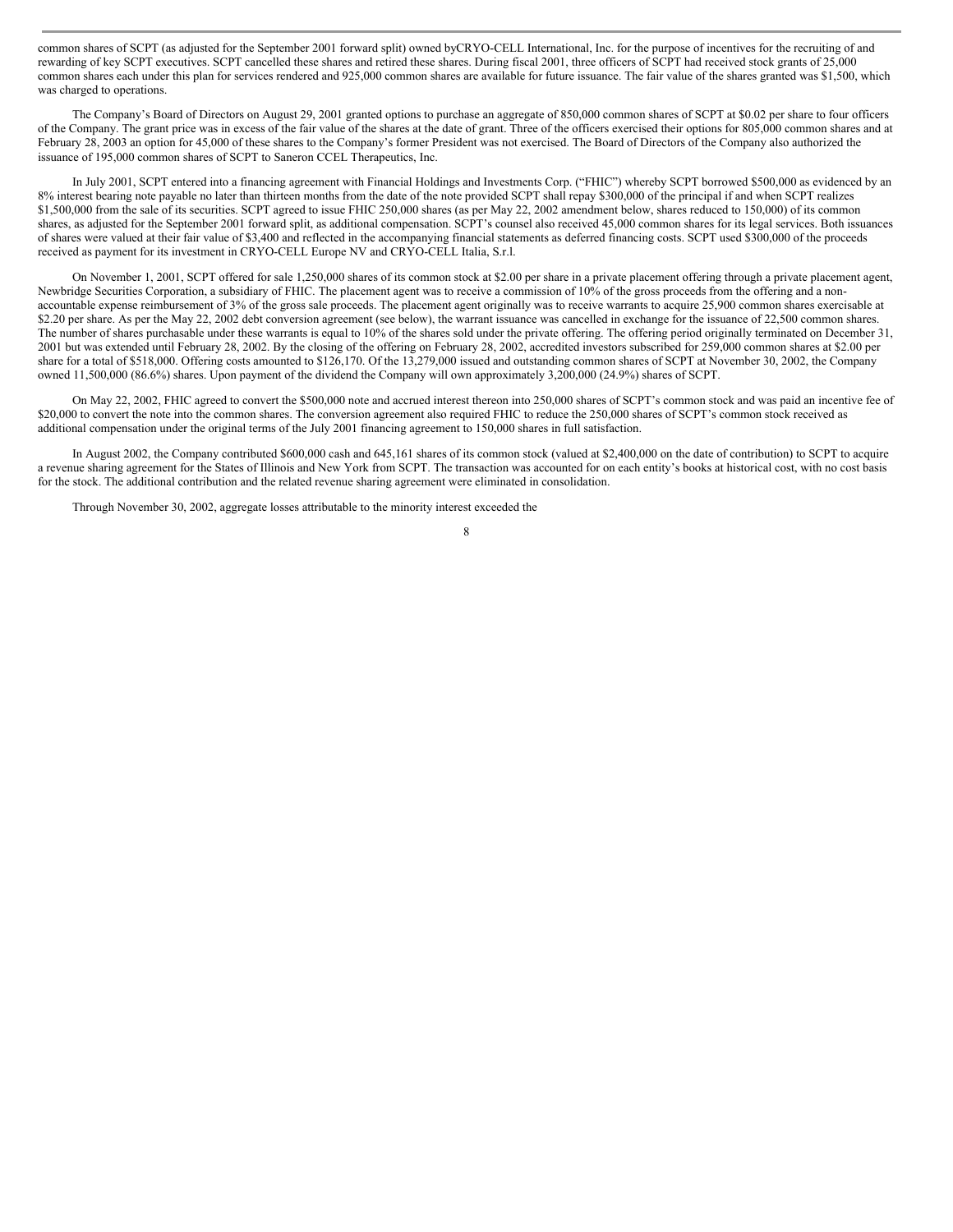common shares of SCPT (as adjusted for the September 2001 forward split) owned byCRYO-CELL International, Inc. for the purpose of incentives for the recruiting of and rewarding of key SCPT executives. SCPT cancelled these shares and retired these shares. During fiscal 2001, three officers of SCPT had received stock grants of 25,000 common shares each under this plan for services rendered and 925,000 common shares are available for future issuance. The fair value of the shares granted was \$1,500, which was charged to operations.

The Company's Board of Directors on August 29, 2001 granted options to purchase an aggregate of 850,000 common shares of SCPT at \$0.02 per share to four officers of the Company. The grant price was in excess of the fair value of the shares at the date of grant. Three of the officers exercised their options for 805,000 common shares and at February 28, 2003 an option for 45,000 of these shares to the Company's former President was not exercised. The Board of Directors of the Company also authorized the issuance of 195,000 common shares of SCPT to Saneron CCEL Therapeutics, Inc.

In July 2001, SCPT entered into a financing agreement with Financial Holdings and Investments Corp. ("FHIC") whereby SCPT borrowed \$500,000 as evidenced by an 8% interest bearing note payable no later than thirteen months from the date of the note provided SCPT shall repay \$300,000 of the principal if and when SCPT realizes \$1,500,000 from the sale of its securities. SCPT agreed to issue FHIC 250,000 shares (as per May 22, 2002 amendment below, shares reduced to 150,000) of its common shares, as adjusted for the September 2001 forward split, as additional compensation. SCPT's counsel also received 45,000 common shares for its legal services. Both issuances of shares were valued at their fair value of \$3,400 and reflected in the accompanying financial statements as deferred financing costs. SCPT used \$300,000 of the proceeds received as payment for its investment in CRYO-CELL Europe NV and CRYO-CELL Italia, S.r.l.

On November 1, 2001, SCPT offered for sale 1,250,000 shares of its common stock at \$2.00 per share in a private placement offering through a private placement agent, Newbridge Securities Corporation, a subsidiary of FHIC. The placement agent was to receive a commission of 10% of the gross proceeds from the offering and a nonaccountable expense reimbursement of 3% of the gross sale proceeds. The placement agent originally was to receive warrants to acquire 25,900 common shares exercisable at \$2.20 per share. As per the May 22, 2002 debt conversion agreement (see below), the warrant issuance was cancelled in exchange for the issuance of 22,500 common shares. The number of shares purchasable under these warrants is equal to 10% of the shares sold under the private offering. The offering period originally terminated on December 31, 2001 but was extended until February 28, 2002. By the closing of the offering on February 28, 2002, accredited investors subscribed for 259,000 common shares at \$2.00 per share for a total of \$518,000. Offering costs amounted to \$126,170. Of the 13,279,000 issued and outstanding common shares of SCPT at November 30, 2002, the Company owned 11,500,000 (86.6%) shares. Upon payment of the dividend the Company will own approximately 3,200,000 (24.9%) shares of SCPT.

On May 22, 2002, FHIC agreed to convert the \$500,000 note and accrued interest thereon into 250,000 shares of SCPT's common stock and was paid an incentive fee of \$20,000 to convert the note into the common shares. The conversion agreement also required FHIC to reduce the 250,000 shares of SCPT's common stock received as additional compensation under the original terms of the July 2001 financing agreement to 150,000 shares in full satisfaction.

In August 2002, the Company contributed \$600,000 cash and 645,161 shares of its common stock (valued at \$2,400,000 on the date of contribution) to SCPT to acquire a revenue sharing agreement for the States of Illinois and New York from SCPT. The transaction was accounted for on each entity's books at historical cost, with no cost basis for the stock. The additional contribution and the related revenue sharing agreement were eliminated in consolidation.

Through November 30, 2002, aggregate losses attributable to the minority interest exceeded the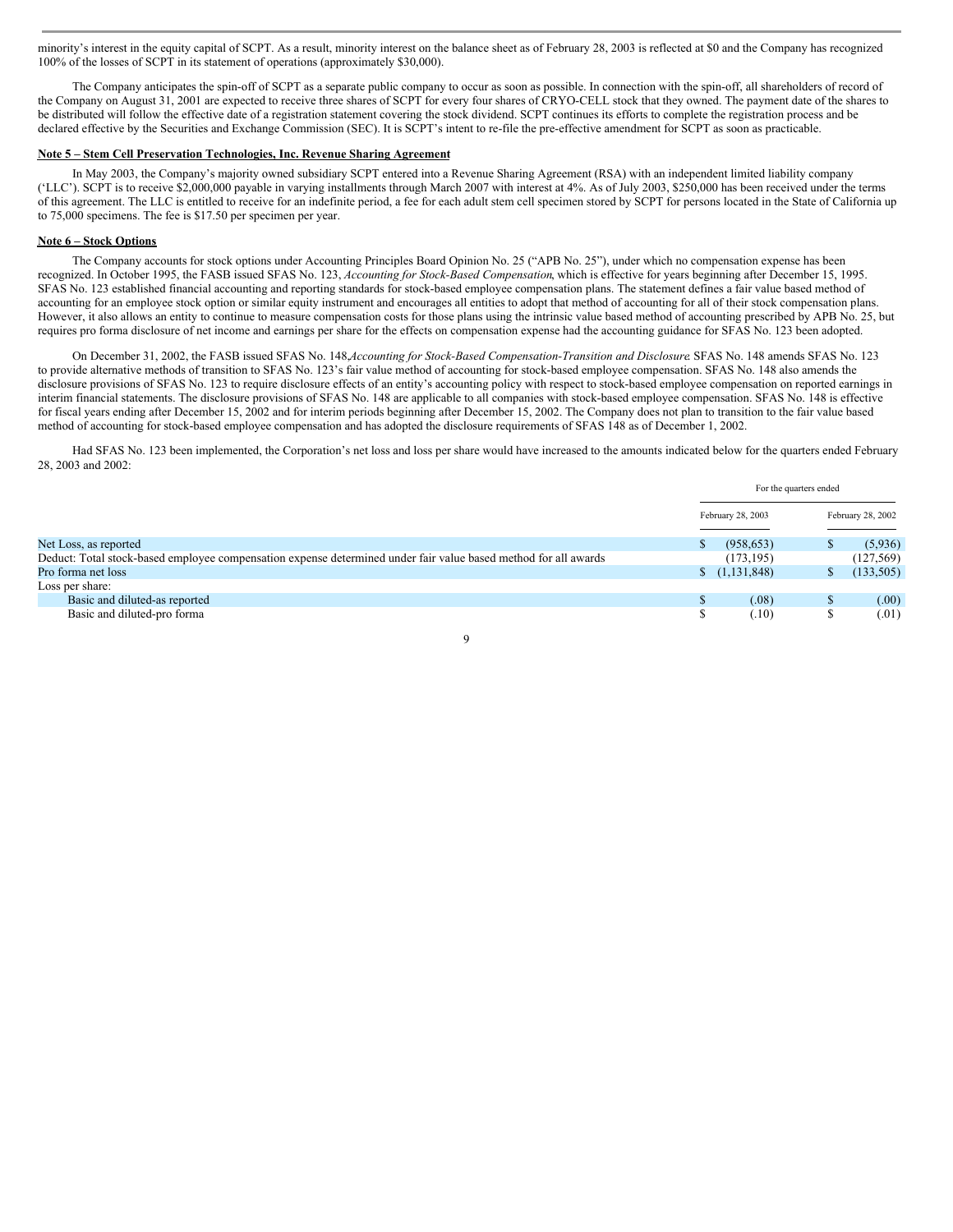minority's interest in the equity capital of SCPT. As a result, minority interest on the balance sheet as of February 28, 2003 is reflected at \$0 and the Company has recognized 100% of the losses of SCPT in its statement of operations (approximately \$30,000).

The Company anticipates the spin-off of SCPT as a separate public company to occur as soon as possible. In connection with the spin-off, all shareholders of record of the Company on August 31, 2001 are expected to receive three shares of SCPT for every four shares of CRYO-CELL stock that they owned. The payment date of the shares to be distributed will follow the effective date of a registration statement covering the stock dividend. SCPT continues its efforts to complete the registration process and be declared effective by the Securities and Exchange Commission (SEC). It is SCPT's intent to re-file the pre-effective amendment for SCPT as soon as practicable.

#### **Note 5 – Stem Cell Preservation Technologies, Inc. Revenue Sharing Agreement**

In May 2003, the Company's majority owned subsidiary SCPT entered into a Revenue Sharing Agreement (RSA) with an independent limited liability company ('LLC'). SCPT is to receive \$2,000,000 payable in varying installments through March 2007 with interest at 4%. As of July 2003, \$250,000 has been received under the terms of this agreement. The LLC is entitled to receive for an indefinite period, a fee for each adult stem cell specimen stored by SCPT for persons located in the State of California up to 75,000 specimens. The fee is \$17.50 per specimen per year.

#### **Note 6 – Stock Options**

The Company accounts for stock options under Accounting Principles Board Opinion No. 25 ("APB No. 25"), under which no compensation expense has been recognized. In October 1995, the FASB issued SFAS No. 123, *Accounting for Stock-Based Compensation*, which is effective for years beginning after December 15, 1995. SFAS No. 123 established financial accounting and reporting standards for stock-based employee compensation plans. The statement defines a fair value based method of accounting for an employee stock option or similar equity instrument and encourages all entities to adopt that method of accounting for all of their stock compensation plans. However, it also allows an entity to continue to measure compensation costs for those plans using the intrinsic value based method of accounting prescribed by APB No. 25, but requires pro forma disclosure of net income and earnings per share for the effects on compensation expense had the accounting guidance for SFAS No. 123 been adopted.

On December 31, 2002, the FASB issued SFAS No. 148,*Accounting for Stock-Based Compensation-Transition and Disclosure*. SFAS No. 148 amends SFAS No. 123 to provide alternative methods of transition to SFAS No. 123's fair value method of accounting for stock-based employee compensation. SFAS No. 148 also amends the disclosure provisions of SFAS No. 123 to require disclosure effects of an entity's accounting policy with respect to stock-based employee compensation on reported earnings in interim financial statements. The disclosure provisions of SFAS No. 148 are applicable to all companies with stock-based employee compensation. SFAS No. 148 is effective for fiscal years ending after December 15, 2002 and for interim periods beginning after December 15, 2002. The Company does not plan to transition to the fair value based method of accounting for stock-based employee compensation and has adopted the disclosure requirements of SFAS 148 as of December 1, 2002.

Had SFAS No. 123 been implemented, the Corporation's net loss and loss per share would have increased to the amounts indicated below for the quarters ended February 28, 2003 and 2002:

|                                                                                                                 | For the quarters ended |                       |                   |
|-----------------------------------------------------------------------------------------------------------------|------------------------|-----------------------|-------------------|
|                                                                                                                 |                        | February 28, 2003     | February 28, 2002 |
| Net Loss, as reported                                                                                           |                        | (958, 653)            | (5,936)           |
| Deduct: Total stock-based employee compensation expense determined under fair value based method for all awards |                        | (173, 195)            | (127, 569)        |
| Pro forma net loss                                                                                              |                        | $\frac{1}{1,131,848}$ | (133, 505)        |
| Loss per share:                                                                                                 |                        |                       |                   |
| Basic and diluted-as reported                                                                                   |                        | (.08)                 | (0.00)            |
| Basic and diluted-pro forma                                                                                     |                        | (.10)                 | (.01)             |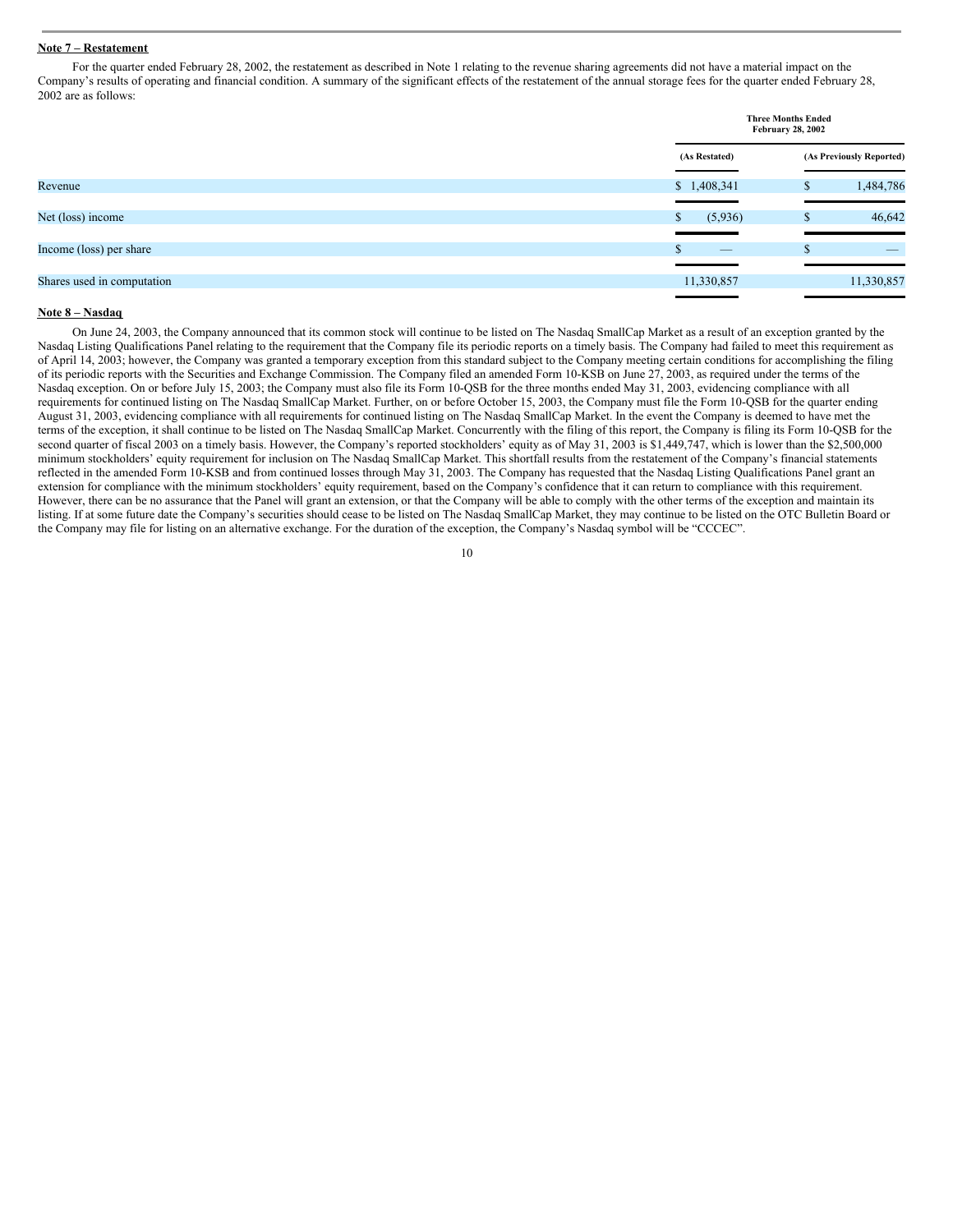#### **Note 7 – Restatement**

For the quarter ended February 28, 2002, the restatement as described in Note 1 relating to the revenue sharing agreements did not have a material impact on the Company's results of operating and financial condition. A summary of the significant effects of the restatement of the annual storage fees for the quarter ended February 28, 2002 are as follows:

|                            |                                 | <b>Three Months Ended</b><br><b>February 28, 2002</b> |  |
|----------------------------|---------------------------------|-------------------------------------------------------|--|
|                            | (As Restated)                   | (As Previously Reported)                              |  |
| Revenue                    | \$1,408,341                     | 1,484,786<br>S.                                       |  |
| Net (loss) income          | (5,936)<br>S.                   | 46,642<br>\$                                          |  |
| Income (loss) per share    | $\hspace{0.1mm}-\hspace{0.1mm}$ | \$                                                    |  |
| Shares used in computation | 11,330,857                      | 11,330,857                                            |  |

# **Note 8 – Nasdaq**

On June 24, 2003, the Company announced that its common stock will continue to be listed on The Nasdaq SmallCap Market as a result of an exception granted by the Nasdaq Listing Qualifications Panel relating to the requirement that the Company file its periodic reports on a timely basis. The Company had failed to meet this requirement as of April 14, 2003; however, the Company was granted a temporary exception from this standard subject to the Company meeting certain conditions for accomplishing the filing of its periodic reports with the Securities and Exchange Commission. The Company filed an amended Form 10-KSB on June 27, 2003, as required under the terms of the Nasdaq exception. On or before July 15, 2003; the Company must also file its Form 10-QSB for the three months ended May 31, 2003, evidencing compliance with all requirements for continued listing on The Nasdaq SmallCap Market. Further, on or before October 15, 2003, the Company must file the Form 10-QSB for the quarter ending August 31, 2003, evidencing compliance with all requirements for continued listing on The Nasdaq SmallCap Market. In the event the Company is deemed to have met the terms of the exception, it shall continue to be listed on The Nasdaq SmallCap Market. Concurrently with the filing of this report, the Company is filing its Form 10-QSB for the second quarter of fiscal 2003 on a timely basis. However, the Company's reported stockholders' equity as of May 31, 2003 is \$1,449,747, which is lower than the \$2,500,000 minimum stockholders' equity requirement for inclusion on The Nasdaq SmallCap Market. This shortfall results from the restatement of the Company's financial statements reflected in the amended Form 10-KSB and from continued losses through May 31, 2003. The Company has requested that the Nasdaq Listing Qualifications Panel grant an extension for compliance with the minimum stockholders' equity requirement, based on the Company's confidence that it can return to compliance with this requirement. However, there can be no assurance that the Panel will grant an extension, or that the Company will be able to comply with the other terms of the exception and maintain its listing. If at some future date the Company's securities should cease to be listed on The Nasdaq SmallCap Market, they may continue to be listed on the OTC Bulletin Board or the Company may file for listing on an alternative exchange. For the duration of the exception, the Company's Nasdaq symbol will be "CCCEC".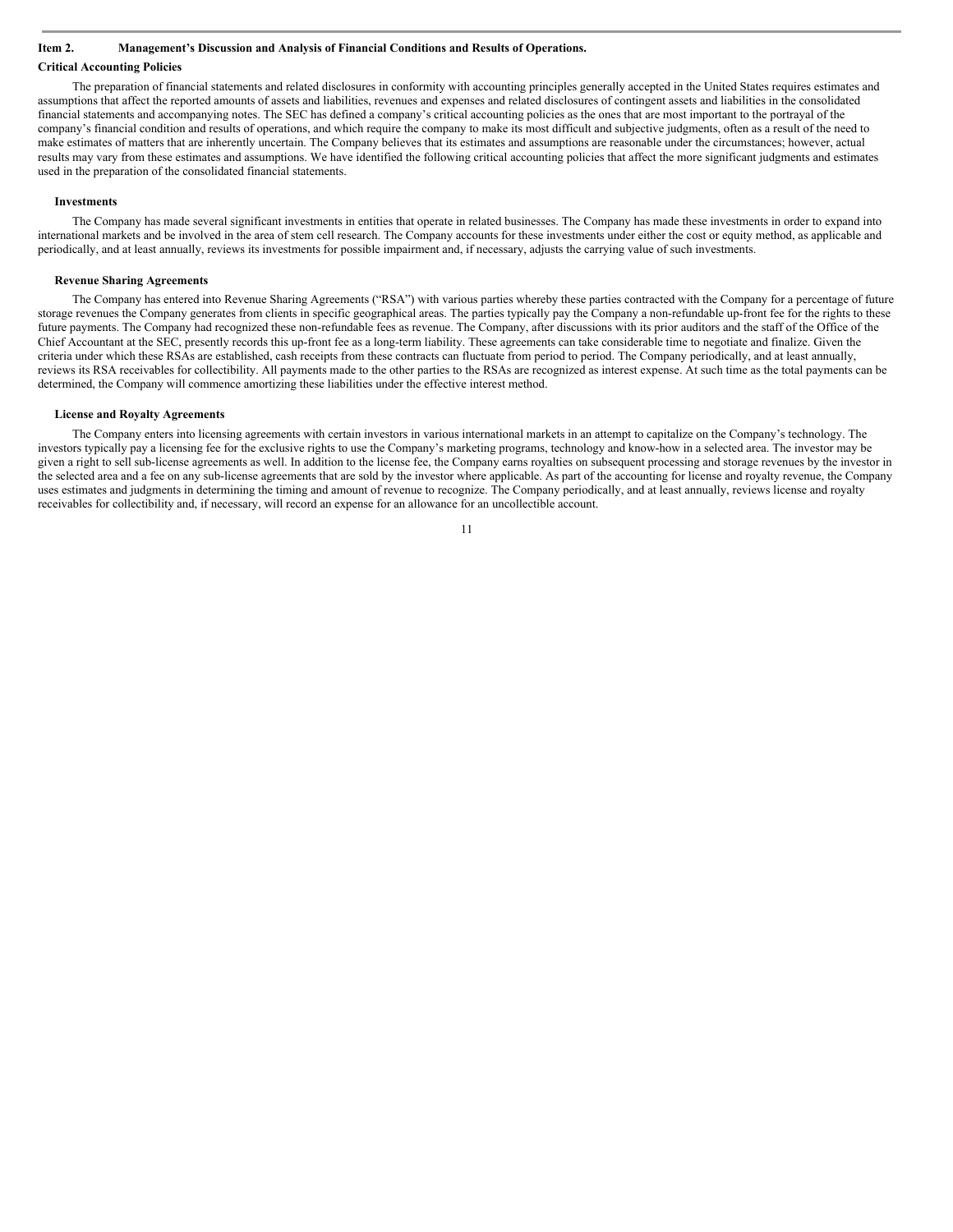#### <span id="page-10-0"></span>**Item 2. Management's Discussion and Analysis of Financial Conditions and Results of Operations.**

# **Critical Accounting Policies**

The preparation of financial statements and related disclosures in conformity with accounting principles generally accepted in the United States requires estimates and assumptions that affect the reported amounts of assets and liabilities, revenues and expenses and related disclosures of contingent assets and liabilities in the consolidated financial statements and accompanying notes. The SEC has defined a company's critical accounting policies as the ones that are most important to the portrayal of the company's financial condition and results of operations, and which require the company to make its most difficult and subjective judgments, often as a result of the need to make estimates of matters that are inherently uncertain. The Company believes that its estimates and assumptions are reasonable under the circumstances; however, actual results may vary from these estimates and assumptions. We have identified the following critical accounting policies that affect the more significant judgments and estimates used in the preparation of the consolidated financial statements.

#### **Investments**

The Company has made several significant investments in entities that operate in related businesses. The Company has made these investments in order to expand into international markets and be involved in the area of stem cell research. The Company accounts for these investments under either the cost or equity method, as applicable and periodically, and at least annually, reviews its investments for possible impairment and, if necessary, adjusts the carrying value of such investments.

#### **Revenue Sharing Agreements**

The Company has entered into Revenue Sharing Agreements ("RSA") with various parties whereby these parties contracted with the Company for a percentage of future storage revenues the Company generates from clients in specific geographical areas. The parties typically pay the Company a non-refundable up-front fee for the rights to these future payments. The Company had recognized these non-refundable fees as revenue. The Company, after discussions with its prior auditors and the staff of the Office of the Chief Accountant at the SEC, presently records this up-front fee as a long-term liability. These agreements can take considerable time to negotiate and finalize. Given the criteria under which these RSAs are established, cash receipts from these contracts can fluctuate from period to period. The Company periodically, and at least annually, reviews its RSA receivables for collectibility. All payments made to the other parties to the RSAs are recognized as interest expense. At such time as the total payments can be determined, the Company will commence amortizing these liabilities under the effective interest method.

#### **License and Royalty Agreements**

The Company enters into licensing agreements with certain investors in various international markets in an attempt to capitalize on the Company's technology. The investors typically pay a licensing fee for the exclusive rights to use the Company's marketing programs, technology and know-how in a selected area. The investor may be given a right to sell sub-license agreements as well. In addition to the license fee, the Company earns royalties on subsequent processing and storage revenues by the investor in the selected area and a fee on any sub-license agreements that are sold by the investor where applicable. As part of the accounting for license and royalty revenue, the Company uses estimates and judgments in determining the timing and amount of revenue to recognize. The Company periodically, and at least annually, reviews license and royalty receivables for collectibility and, if necessary, will record an expense for an allowance for an uncollectible account.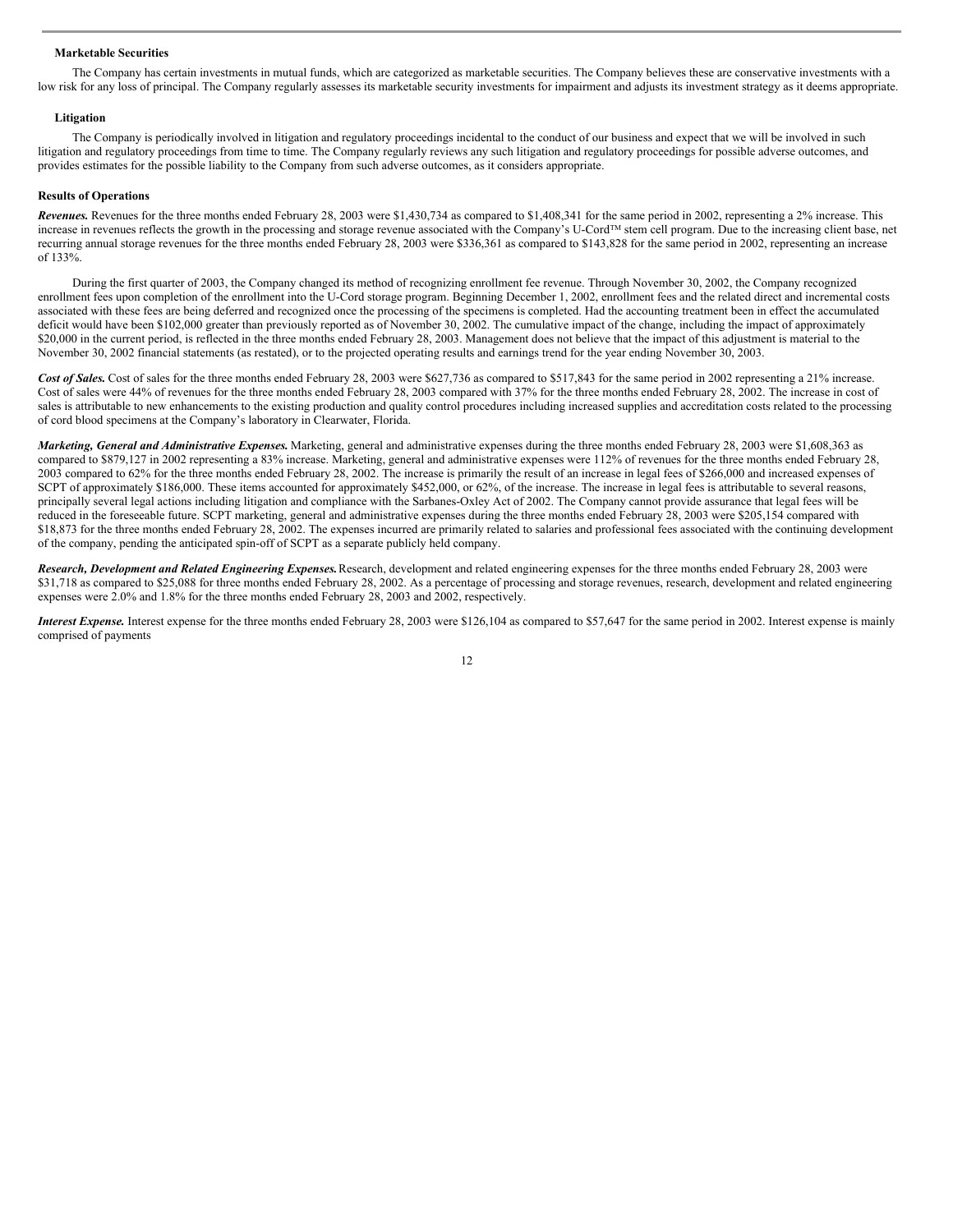# **Marketable Securities**

The Company has certain investments in mutual funds, which are categorized as marketable securities. The Company believes these are conservative investments with a low risk for any loss of principal. The Company regularly assesses its marketable security investments for impairment and adjusts its investment strategy as it deems appropriate.

## **Litigation**

The Company is periodically involved in litigation and regulatory proceedings incidental to the conduct of our business and expect that we will be involved in such litigation and regulatory proceedings from time to time. The Company regularly reviews any such litigation and regulatory proceedings for possible adverse outcomes, and provides estimates for the possible liability to the Company from such adverse outcomes, as it considers appropriate.

## **Results of Operations**

*Revenues.* Revenues for the three months ended February 28, 2003 were \$1,430,734 as compared to \$1,408,341 for the same period in 2002, representing a 2% increase. This increase in revenues reflects the growth in the processing and storage revenue associated with the Company's U-Cord™ stem cell program. Due to the increasing client base, net recurring annual storage revenues for the three months ended February 28, 2003 were \$336,361 as compared to \$143,828 for the same period in 2002, representing an increase of 133%.

During the first quarter of 2003, the Company changed its method of recognizing enrollment fee revenue. Through November 30, 2002, the Company recognized enrollment fees upon completion of the enrollment into the U-Cord storage program. Beginning December 1, 2002, enrollment fees and the related direct and incremental costs associated with these fees are being deferred and recognized once the processing of the specimens is completed. Had the accounting treatment been in effect the accumulated deficit would have been \$102,000 greater than previously reported as of November 30, 2002. The cumulative impact of the change, including the impact of approximately \$20,000 in the current period, is reflected in the three months ended February 28, 2003. Management does not believe that the impact of this adjustment is material to the November 30, 2002 financial statements (as restated), or to the projected operating results and earnings trend for the year ending November 30, 2003.

*Cost of Sales.* Cost of sales for the three months ended February 28, 2003 were \$627,736 as compared to \$517,843 for the same period in 2002 representing a 21% increase. Cost of sales were 44% of revenues for the three months ended February 28, 2003 compared with 37% for the three months ended February 28, 2002. The increase in cost of sales is attributable to new enhancements to the existing production and quality control procedures including increased supplies and accreditation costs related to the processing of cord blood specimens at the Company's laboratory in Clearwater, Florida.

*Marketing, General and Administrative Expenses.* Marketing, general and administrative expenses during the three months ended February 28, 2003 were \$1,608,363 as compared to \$879,127 in 2002 representing a 83% increase. Marketing, general and administrative expenses were 112% of revenues for the three months ended February 28, 2003 compared to 62% for the three months ended February 28, 2002. The increase is primarily the result of an increase in legal fees of \$266,000 and increased expenses of SCPT of approximately \$186,000. These items accounted for approximately \$452,000, or 62%, of the increase. The increase in legal fees is attributable to several reasons, principally several legal actions including litigation and compliance with the Sarbanes-Oxley Act of 2002. The Company cannot provide assurance that legal fees will be reduced in the foreseeable future. SCPT marketing, general and administrative expenses during the three months ended February 28, 2003 were \$205,154 compared with \$18,873 for the three months ended February 28, 2002. The expenses incurred are primarily related to salaries and professional fees associated with the continuing development of the company, pending the anticipated spin-off of SCPT as a separate publicly held company.

*Research, Development and Related Engineering Expenses.*Research, development and related engineering expenses for the three months ended February 28, 2003 were \$31,718 as compared to \$25,088 for three months ended February 28, 2002. As a percentage of processing and storage revenues, research, development and related engineering expenses were 2.0% and 1.8% for the three months ended February 28, 2003 and 2002, respectively.

*Interest Expense.* Interest expense for the three months ended February 28, 2003 were \$126,104 as compared to \$57,647 for the same period in 2002. Interest expense is mainly comprised of payments

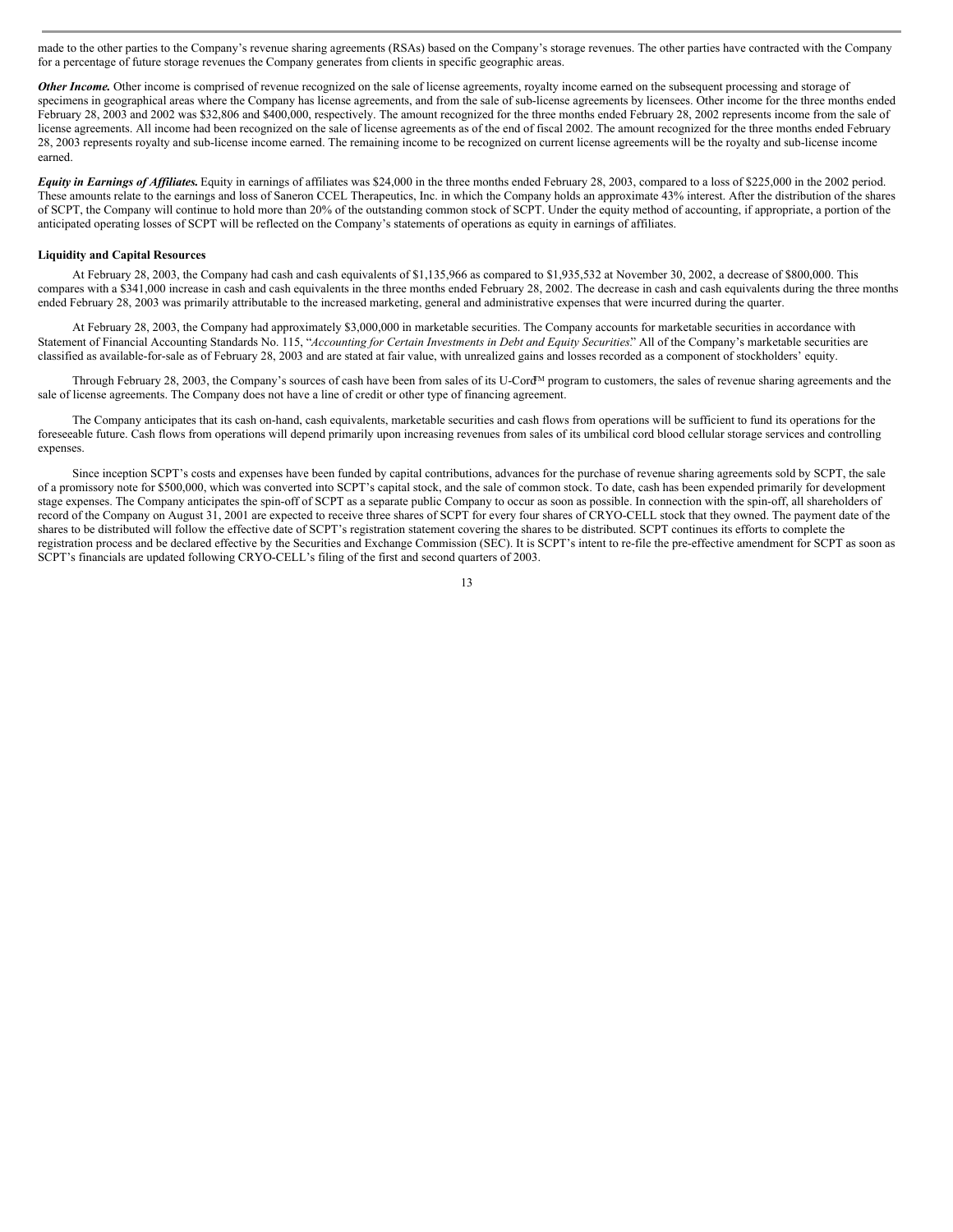made to the other parties to the Company's revenue sharing agreements (RSAs) based on the Company's storage revenues. The other parties have contracted with the Company for a percentage of future storage revenues the Company generates from clients in specific geographic areas.

*Other Income.* Other income is comprised of revenue recognized on the sale of license agreements, royalty income earned on the subsequent processing and storage of specimens in geographical areas where the Company has license agreements, and from the sale of sub-license agreements by licensees. Other income for the three months ended February 28, 2003 and 2002 was \$32,806 and \$400,000, respectively. The amount recognized for the three months ended February 28, 2002 represents income from the sale of license agreements. All income had been recognized on the sale of license agreements as of the end of fiscal 2002. The amount recognized for the three months ended February 28, 2003 represents royalty and sub-license income earned. The remaining income to be recognized on current license agreements will be the royalty and sub-license income earned.

*Equity in Earnings of Affiliates*. Equity in earnings of affiliates was \$24,000 in the three months ended February 28, 2003, compared to a loss of \$225,000 in the 2002 period. These amounts relate to the earnings and loss of Saneron CCEL Therapeutics, Inc. in which the Company holds an approximate 43% interest. After the distribution of the shares of SCPT, the Company will continue to hold more than 20% of the outstanding common stock of SCPT. Under the equity method of accounting, if appropriate, a portion of the anticipated operating losses of SCPT will be reflected on the Company's statements of operations as equity in earnings of affiliates.

# **Liquidity and Capital Resources**

At February 28, 2003, the Company had cash and cash equivalents of \$1,135,966 as compared to \$1,935,532 at November 30, 2002, a decrease of \$800,000. This compares with a \$341,000 increase in cash and cash equivalents in the three months ended February 28, 2002. The decrease in cash and cash equivalents during the three months ended February 28, 2003 was primarily attributable to the increased marketing, general and administrative expenses that were incurred during the quarter.

At February 28, 2003, the Company had approximately \$3,000,000 in marketable securities. The Company accounts for marketable securities in accordance with Statement of Financial Accounting Standards No. 115, "Accounting for Certain Investments in Debt and Equity Securities." All of the Company's marketable securities are classified as available-for-sale as of February 28, 2003 and are stated at fair value, with unrealized gains and losses recorded as a component of stockholders' equity.

Through February 28, 2003, the Company's sources of cash have been from sales of its U-Cord<sup>M</sup> program to customers, the sales of revenue sharing agreements and the sale of license agreements. The Company does not have a line of credit or other type of financing agreement.

The Company anticipates that its cash on-hand, cash equivalents, marketable securities and cash flows from operations will be sufficient to fund its operations for the foreseeable future. Cash flows from operations will depend primarily upon increasing revenues from sales of its umbilical cord blood cellular storage services and controlling expenses.

Since inception SCPT's costs and expenses have been funded by capital contributions, advances for the purchase of revenue sharing agreements sold by SCPT, the sale of a promissory note for \$500,000, which was converted into SCPT's capital stock, and the sale of common stock. To date, cash has been expended primarily for development stage expenses. The Company anticipates the spin-off of SCPT as a separate public Company to occur as soon as possible. In connection with the spin-off, all shareholders of record of the Company on August 31, 2001 are expected to receive three shares of SCPT for every four shares of CRYO-CELL stock that they owned. The payment date of the shares to be distributed will follow the effective date of SCPT's registration statement covering the shares to be distributed. SCPT continues its efforts to complete the registration process and be declared effective by the Securities and Exchange Commission (SEC). It is SCPT's intent to re-file the pre-effective amendment for SCPT as soon as SCPT's financials are updated following CRYO-CELL's filing of the first and second quarters of 2003.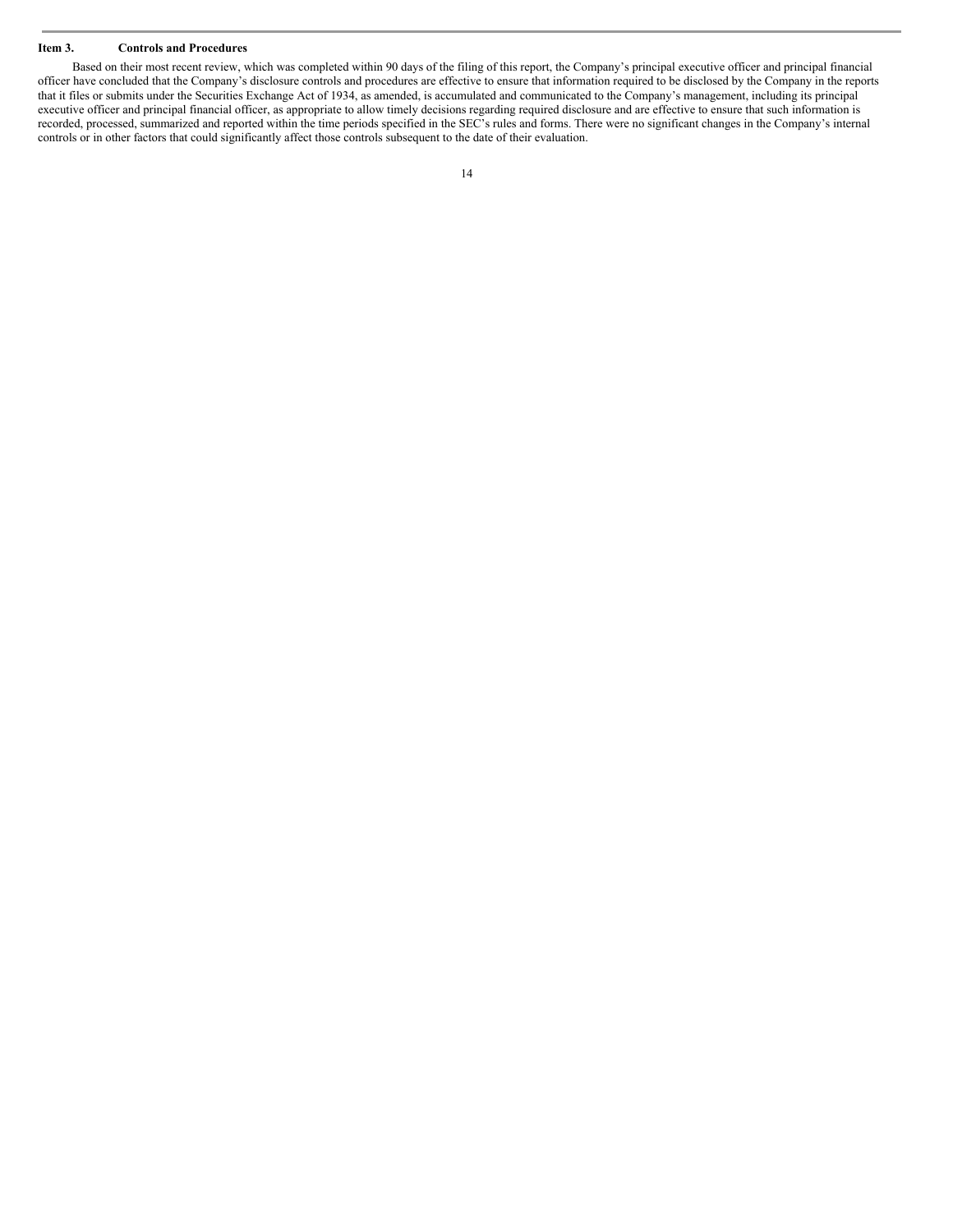#### <span id="page-13-0"></span>**Item 3. Controls and Procedures**

Based on their most recent review, which was completed within 90 days of the filing of this report, the Company's principal executive officer and principal financial officer have concluded that the Company's disclosure controls and procedures are effective to ensure that information required to be disclosed by the Company in the reports that it files or submits under the Securities Exchange Act of 1934, as amended, is accumulated and communicated to the Company's management, including its principal executive officer and principal financial officer, as appropriate to allow timely decisions regarding required disclosure and are effective to ensure that such information is recorded, processed, summarized and reported within the time periods specified in the SEC's rules and forms. There were no significant changes in the Company's internal controls or in other factors that could significantly affect those controls subsequent to the date of their evaluation.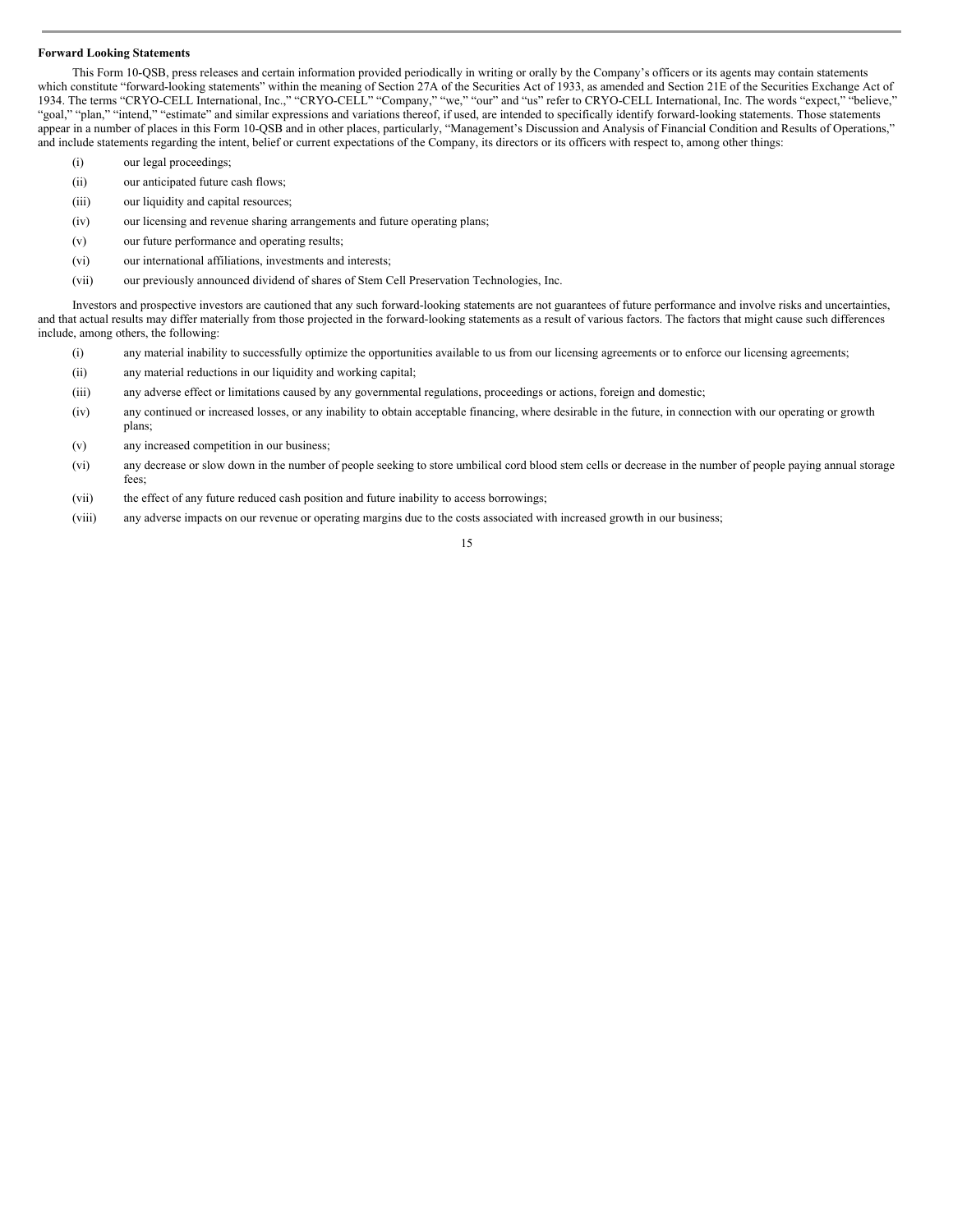# **Forward Looking Statements**

This Form 10-QSB, press releases and certain information provided periodically in writing or orally by the Company's officers or its agents may contain statements which constitute "forward-looking statements" within the meaning of Section 27A of the Securities Act of 1933, as amended and Section 21E of the Securities Exchange Act of 1934. The terms "CRYO-CELL International, Inc.," "CRYO-CELL" "Company," "we," "our" and "us" refer to CRYO-CELL International, Inc. The words "expect," "believe," "goal," "plan," "intend," "estimate" and similar expressions and variations thereof, if used, are intended to specifically identify forward-looking statements. Those statements appear in a number of places in this Form 10-QSB and in other places, particularly, "Management's Discussion and Analysis of Financial Condition and Results of Operations," and include statements regarding the intent, belief or current expectations of the Company, its directors or its officers with respect to, among other things:

- (i) our legal proceedings;
- (ii) our anticipated future cash flows;
- (iii) our liquidity and capital resources;
- (iv) our licensing and revenue sharing arrangements and future operating plans;
- (v) our future performance and operating results;
- (vi) our international affiliations, investments and interests;
- (vii) our previously announced dividend of shares of Stem Cell Preservation Technologies, Inc.

Investors and prospective investors are cautioned that any such forward-looking statements are not guarantees of future performance and involve risks and uncertainties, and that actual results may differ materially from those projected in the forward-looking statements as a result of various factors. The factors that might cause such differences include, among others, the following:

- (i) any material inability to successfully optimize the opportunities available to us from our licensing agreements or to enforce our licensing agreements;
- (ii) any material reductions in our liquidity and working capital;
- (iii) any adverse effect or limitations caused by any governmental regulations, proceedings or actions, foreign and domestic;
- (iv) any continued or increased losses, or any inability to obtain acceptable financing, where desirable in the future, in connection with our operating or growth plans;
- (v) any increased competition in our business;
- (vi) any decrease or slow down in the number of people seeking to store umbilical cord blood stem cells or decrease in the number of people paying annual storage fees;
- (vii) the effect of any future reduced cash position and future inability to access borrowings;
- (viii) any adverse impacts on our revenue or operating margins due to the costs associated with increased growth in our business;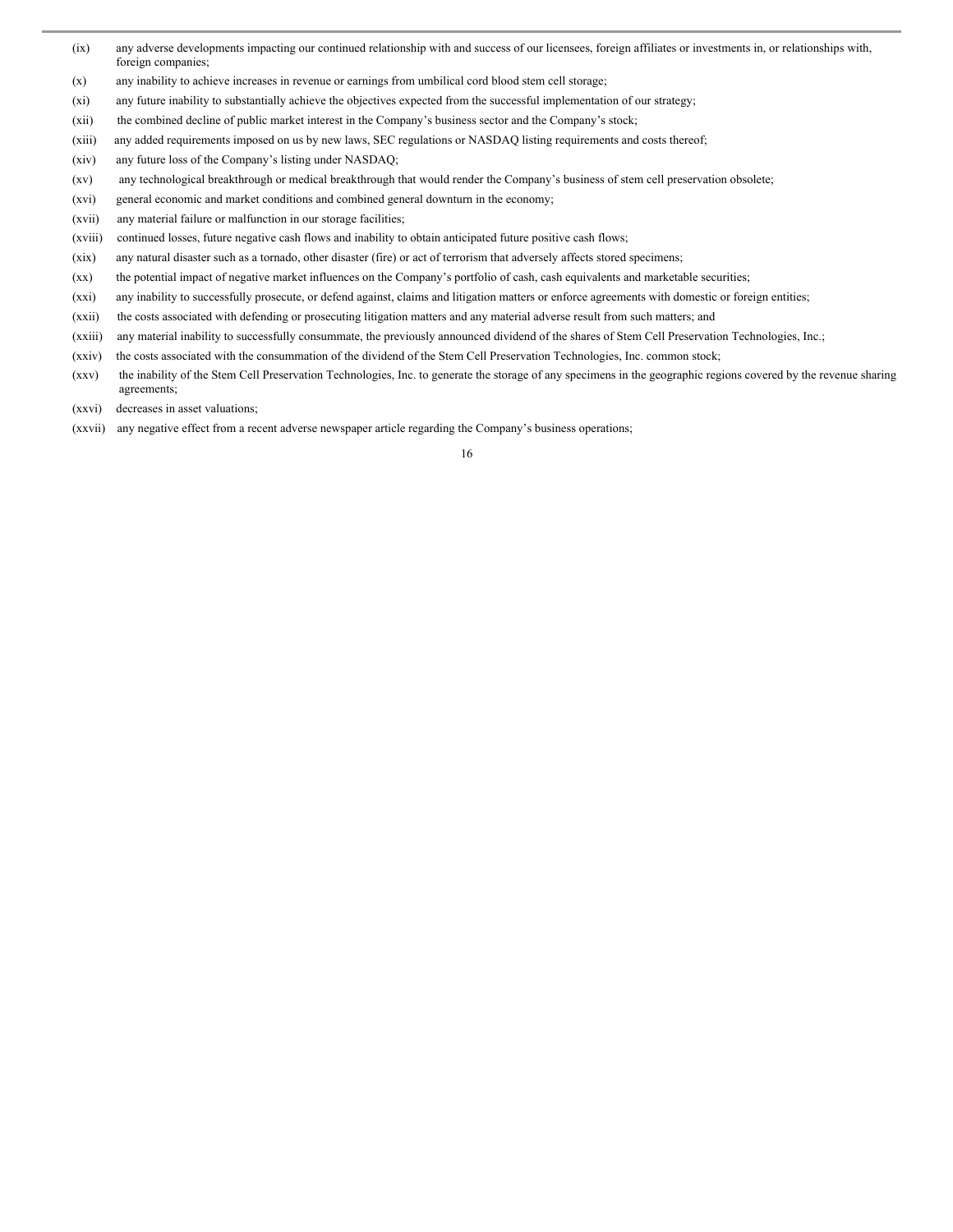- (ix) any adverse developments impacting our continued relationship with and success of our licensees, foreign affiliates or investments in, or relationships with, foreign companies;
- (x) any inability to achieve increases in revenue or earnings from umbilical cord blood stem cell storage;
- (xi) any future inability to substantially achieve the objectives expected from the successful implementation of our strategy;
- (xii) the combined decline of public market interest in the Company's business sector and the Company's stock;
- (xiii) any added requirements imposed on us by new laws, SEC regulations or NASDAQ listing requirements and costs thereof;
- (xiv) any future loss of the Company's listing under NASDAQ;
- (xv) any technological breakthrough or medical breakthrough that would render the Company's business of stem cell preservation obsolete;
- (xvi) general economic and market conditions and combined general downturn in the economy;
- (xvii) any material failure or malfunction in our storage facilities;
- (xviii) continued losses, future negative cash flows and inability to obtain anticipated future positive cash flows;
- (xix) any natural disaster such as a tornado, other disaster (fire) or act of terrorism that adversely affects stored specimens;
- (xx) the potential impact of negative market influences on the Company's portfolio of cash, cash equivalents and marketable securities;
- (xxi) any inability to successfully prosecute, or defend against, claims and litigation matters or enforce agreements with domestic or foreign entities;
- (xxii) the costs associated with defending or prosecuting litigation matters and any material adverse result from such matters; and
- (xxiii) any material inability to successfully consummate, the previously announced dividend of the shares of Stem Cell Preservation Technologies, Inc.;
- (xxiv) the costs associated with the consummation of the dividend of the Stem Cell Preservation Technologies, Inc. common stock;
- (xxv) the inability of the Stem Cell Preservation Technologies, Inc. to generate the storage of any specimens in the geographic regions covered by the revenue sharing agreements;
- (xxvi) decreases in asset valuations;
- (xxvii) any negative effect from a recent adverse newspaper article regarding the Company's business operations;
	- 16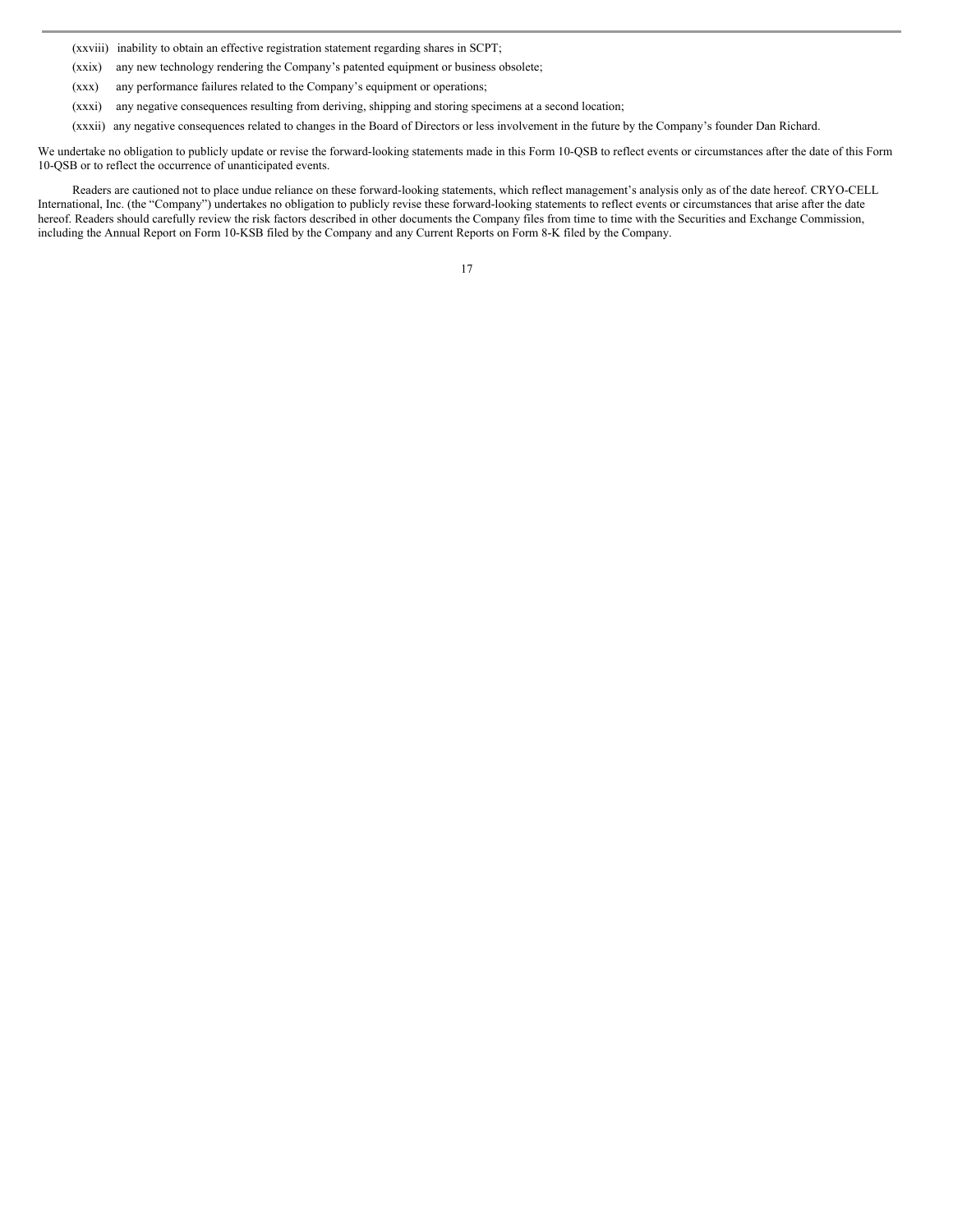(xxviii) inability to obtain an effective registration statement regarding shares in SCPT;

- (xxix) any new technology rendering the Company's patented equipment or business obsolete;
- (xxx) any performance failures related to the Company's equipment or operations;
- (xxxi) any negative consequences resulting from deriving, shipping and storing specimens at a second location;
- (xxxii) any negative consequences related to changes in the Board of Directors or less involvement in the future by the Company's founder Dan Richard.

We undertake no obligation to publicly update or revise the forward-looking statements made in this Form 10-QSB to reflect events or circumstances after the date of this Form 10-QSB or to reflect the occurrence of unanticipated events.

Readers are cautioned not to place undue reliance on these forward-looking statements, which reflect management's analysis only as of the date hereof. CRYO-CELL International, Inc. (the "Company") undertakes no obligation to publicly revise these forward-looking statements to reflect events or circumstances that arise after the date hereof. Readers should carefully review the risk factors described in other documents the Company files from time to time with the Securities and Exchange Commission, including the Annual Report on Form 10-KSB filed by the Company and any Current Reports on Form 8-K filed by the Company.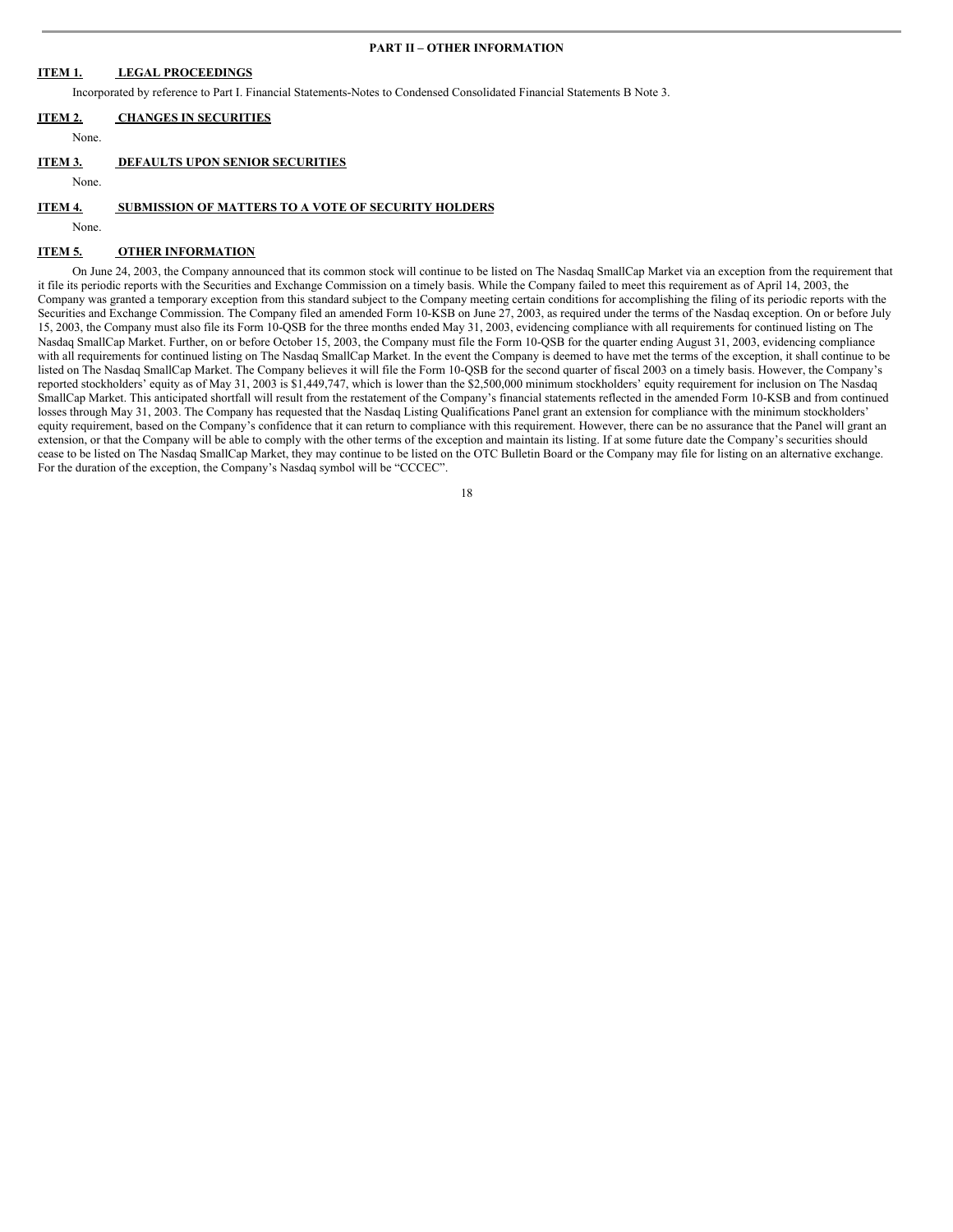## **PART II – OTHER INFORMATION**

#### **ITEM 1. LEGAL PROCEEDINGS**

<span id="page-17-1"></span><span id="page-17-0"></span>Incorporated by reference to Part I. Financial Statements-Notes to Condensed Consolidated Financial Statements B Note 3.

#### **ITEM 2. CHANGES IN SECURITIES**

None.

**ITEM 3. DEFAULTS UPON SENIOR SECURITIES**

<span id="page-17-3"></span><span id="page-17-2"></span>None.

## **ITEM 4. SUBMISSION OF MATTERS TO A VOTE OF SECURITY HOLDERS**

<span id="page-17-4"></span>None.

#### **ITEM 5. OTHER INFORMATION**

On June 24, 2003, the Company announced that its common stock will continue to be listed on The Nasdaq SmallCap Market via an exception from the requirement that it file its periodic reports with the Securities and Exchange Commission on a timely basis. While the Company failed to meet this requirement as of April 14, 2003, the Company was granted a temporary exception from this standard subject to the Company meeting certain conditions for accomplishing the filing of its periodic reports with the Securities and Exchange Commission. The Company filed an amended Form 10-KSB on June 27, 2003, as required under the terms of the Nasdaq exception. On or before July 15, 2003, the Company must also file its Form 10-QSB for the three months ended May 31, 2003, evidencing compliance with all requirements for continued listing on The Nasdaq SmallCap Market. Further, on or before October 15, 2003, the Company must file the Form 10-QSB for the quarter ending August 31, 2003, evidencing compliance with all requirements for continued listing on The Nasdaq SmallCap Market. In the event the Company is deemed to have met the terms of the exception, it shall continue to be listed on The Nasdaq SmallCap Market. The Company believes it will file the Form 10-QSB for the second quarter of fiscal 2003 on a timely basis. However, the Company's reported stockholders' equity as of May 31, 2003 is \$1,449,747, which is lower than the \$2,500,000 minimum stockholders' equity requirement for inclusion on The Nasdaq SmallCap Market. This anticipated shortfall will result from the restatement of the Company's financial statements reflected in the amended Form 10-KSB and from continued losses through May 31, 2003. The Company has requested that the Nasdaq Listing Qualifications Panel grant an extension for compliance with the minimum stockholders' equity requirement, based on the Company's confidence that it can return to compliance with this requirement. However, there can be no assurance that the Panel will grant an extension, or that the Company will be able to comply with the other terms of the exception and maintain its listing. If at some future date the Company's securities should cease to be listed on The Nasdaq SmallCap Market, they may continue to be listed on the OTC Bulletin Board or the Company may file for listing on an alternative exchange. For the duration of the exception, the Company's Nasdaq symbol will be "CCCEC".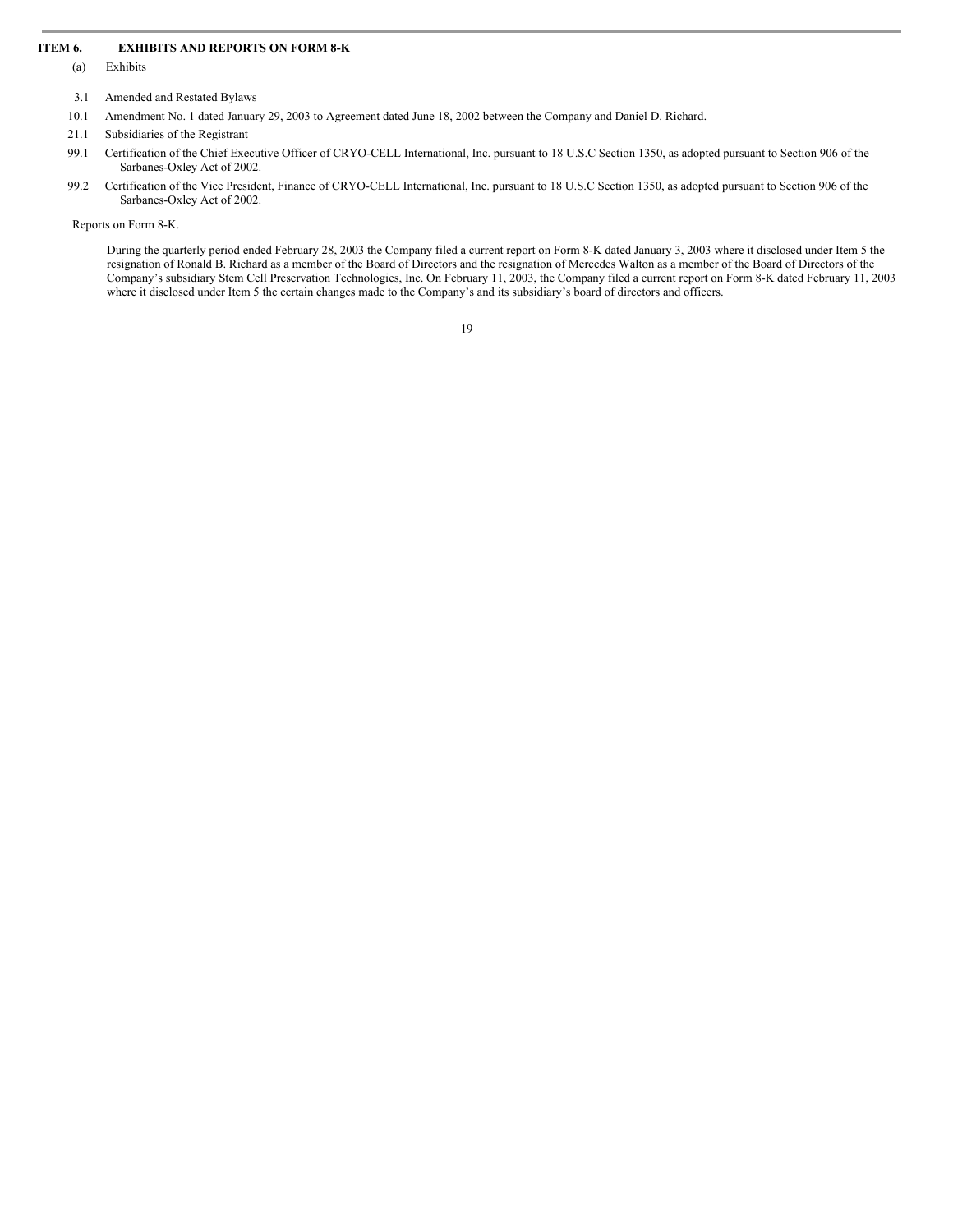#### **ITEM 6. EXHIBITS AND REPORTS ON FORM 8-K**

<span id="page-18-0"></span>(a) Exhibits

- 3.1 Amended and Restated Bylaws
- 10.1 Amendment No. 1 dated January 29, 2003 to Agreement dated June 18, 2002 between the Company and Daniel D. Richard.
- 21.1 Subsidiaries of the Registrant
- 99.1 Certification of the Chief Executive Officer of CRYO-CELL International, Inc. pursuant to 18 U.S.C Section 1350, as adopted pursuant to Section 906 of the Sarbanes-Oxley Act of 2002.
- 99.2 Certification of the Vice President, Finance of CRYO-CELL International, Inc. pursuant to 18 U.S.C Section 1350, as adopted pursuant to Section 906 of the Sarbanes-Oxley Act of 2002.
- Reports on Form 8-K.

During the quarterly period ended February 28, 2003 the Company filed a current report on Form 8-K dated January 3, 2003 where it disclosed under Item 5 the resignation of Ronald B. Richard as a member of the Board of Directors and the resignation of Mercedes Walton as a member of the Board of Directors of the Company's subsidiary Stem Cell Preservation Technologies, Inc. On February 11, 2003, the Company filed a current report on Form 8-K dated February 11, 2003 where it disclosed under Item 5 the certain changes made to the Company's and its subsidiary's board of directors and officers.

| ٦<br>۰.<br>۰,<br>٧ |
|--------------------|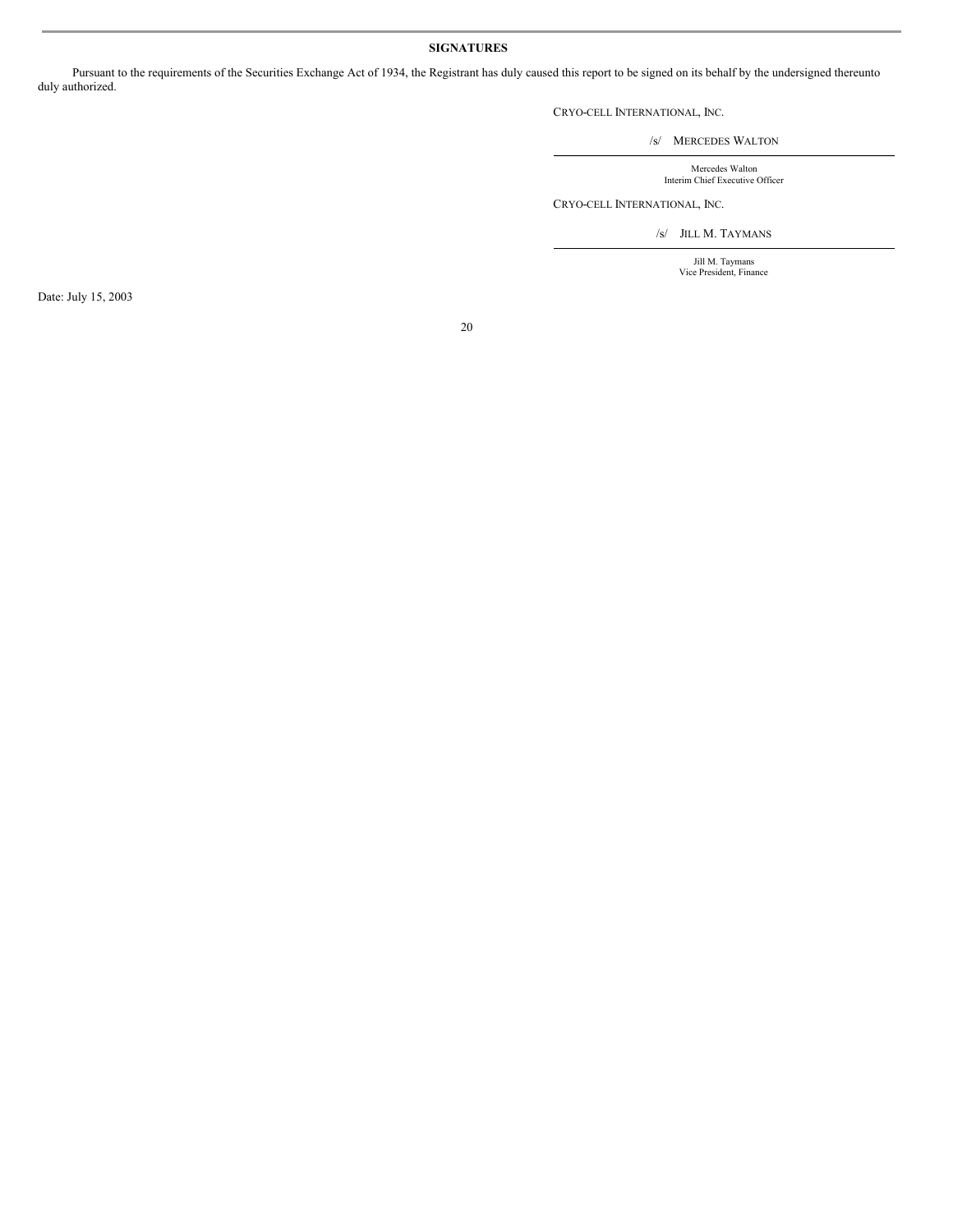# <span id="page-19-0"></span>**SIGNATURES**

Pursuant to the requirements of the Securities Exchange Act of 1934, the Registrant has duly caused this report to be signed on its behalf by the undersigned thereunto duly authorized.

# CRYO-CELL INTERNATIONAL, INC.

/s/ MERCEDES WALTON

Mercedes Walton Interim Chief Executive Officer

CRYO-CELL INTERNATIONAL, INC.

/s/ JILL M. TAYMANS

Jill M. Taymans Vice President, Finance

Date: July 15, 2003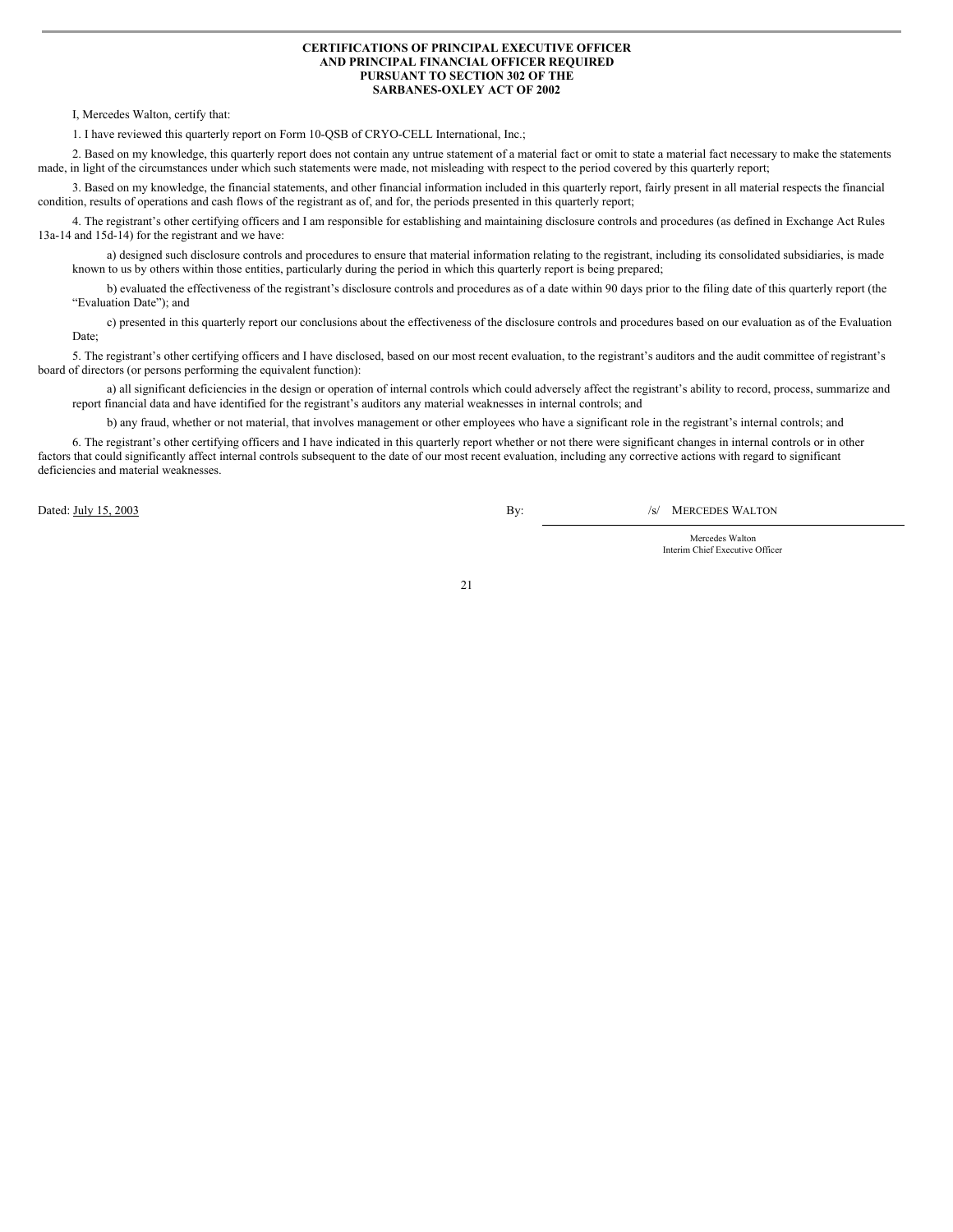#### **CERTIFICATIONS OF PRINCIPAL EXECUTIVE OFFICER AND PRINCIPAL FINANCIAL OFFICER REQUIRED PURSUANT TO SECTION 302 OF THE SARBANES-OXLEY ACT OF 2002**

I, Mercedes Walton, certify that:

1. I have reviewed this quarterly report on Form 10-QSB of CRYO-CELL International, Inc.;

2. Based on my knowledge, this quarterly report does not contain any untrue statement of a material fact or omit to state a material fact necessary to make the statements made, in light of the circumstances under which such statements were made, not misleading with respect to the period covered by this quarterly report;

3. Based on my knowledge, the financial statements, and other financial information included in this quarterly report, fairly present in all material respects the financial condition, results of operations and cash flows of the registrant as of, and for, the periods presented in this quarterly report;

4. The registrant's other certifying officers and I am responsible for establishing and maintaining disclosure controls and procedures (as defined in Exchange Act Rules 13a-14 and 15d-14) for the registrant and we have:

a) designed such disclosure controls and procedures to ensure that material information relating to the registrant, including its consolidated subsidiaries, is made known to us by others within those entities, particularly during the period in which this quarterly report is being prepared;

b) evaluated the effectiveness of the registrant's disclosure controls and procedures as of a date within 90 days prior to the filing date of this quarterly report (the "Evaluation Date"); and

c) presented in this quarterly report our conclusions about the effectiveness of the disclosure controls and procedures based on our evaluation as of the Evaluation Date;

5. The registrant's other certifying officers and I have disclosed, based on our most recent evaluation, to the registrant's auditors and the audit committee of registrant's board of directors (or persons performing the equivalent function):

a) all significant deficiencies in the design or operation of internal controls which could adversely affect the registrant's ability to record, process, summarize and report financial data and have identified for the registrant's auditors any material weaknesses in internal controls; and

b) any fraud, whether or not material, that involves management or other employees who have a significant role in the registrant's internal controls; and

6. The registrant's other certifying officers and I have indicated in this quarterly report whether or not there were significant changes in internal controls or in other factors that could significantly affect internal controls subsequent to the date of our most recent evaluation, including any corrective actions with regard to significant deficiencies and material weaknesses.

Dated: July 15, 2003 By: /s/ MERCEDES WALTON

Mercedes Walton Interim Chief Executive Officer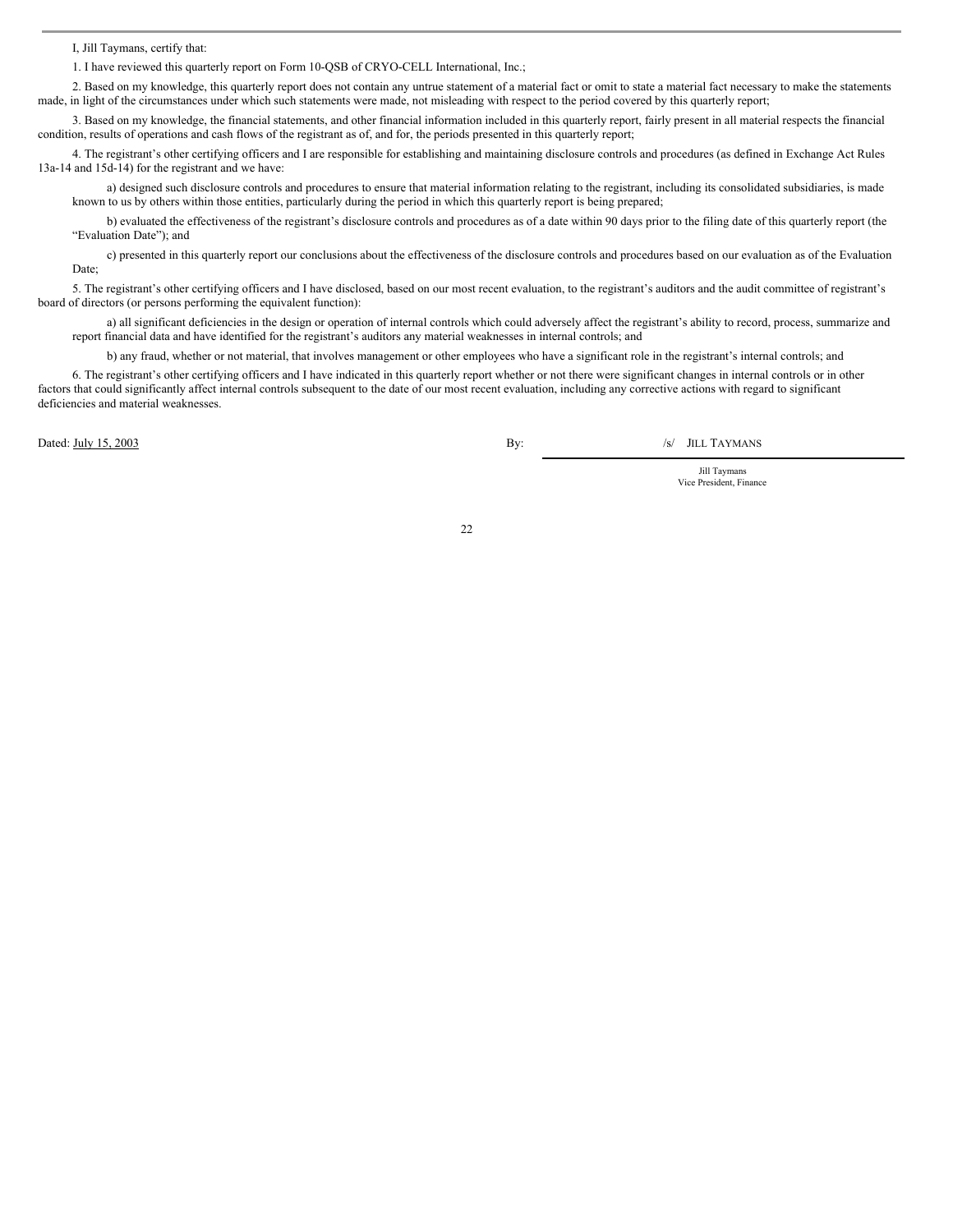I, Jill Taymans, certify that:

1. I have reviewed this quarterly report on Form 10-QSB of CRYO-CELL International, Inc.;

2. Based on my knowledge, this quarterly report does not contain any untrue statement of a material fact or omit to state a material fact necessary to make the statements made, in light of the circumstances under which such statements were made, not misleading with respect to the period covered by this quarterly report;

3. Based on my knowledge, the financial statements, and other financial information included in this quarterly report, fairly present in all material respects the financial condition, results of operations and cash flows of the registrant as of, and for, the periods presented in this quarterly report;

4. The registrant's other certifying officers and I are responsible for establishing and maintaining disclosure controls and procedures (as defined in Exchange Act Rules 13a-14 and 15d-14) for the registrant and we have:

a) designed such disclosure controls and procedures to ensure that material information relating to the registrant, including its consolidated subsidiaries, is made known to us by others within those entities, particularly during the period in which this quarterly report is being prepared;

b) evaluated the effectiveness of the registrant's disclosure controls and procedures as of a date within 90 days prior to the filing date of this quarterly report (the "Evaluation Date"); and

c) presented in this quarterly report our conclusions about the effectiveness of the disclosure controls and procedures based on our evaluation as of the Evaluation Date;

5. The registrant's other certifying officers and I have disclosed, based on our most recent evaluation, to the registrant's auditors and the audit committee of registrant's board of directors (or persons performing the equivalent function):

a) all significant deficiencies in the design or operation of internal controls which could adversely affect the registrant's ability to record, process, summarize and report financial data and have identified for the registrant's auditors any material weaknesses in internal controls; and

b) any fraud, whether or not material, that involves management or other employees who have a significant role in the registrant's internal controls; and

6. The registrant's other certifying officers and I have indicated in this quarterly report whether or not there were significant changes in internal controls or in other factors that could significantly affect internal controls subsequent to the date of our most recent evaluation, including any corrective actions with regard to significant deficiencies and material weaknesses.

Dated: <u>July 15, 2003</u> 2003 By: */s/ JILL TAYMANS* 

Jill Taymans Vice President, Finance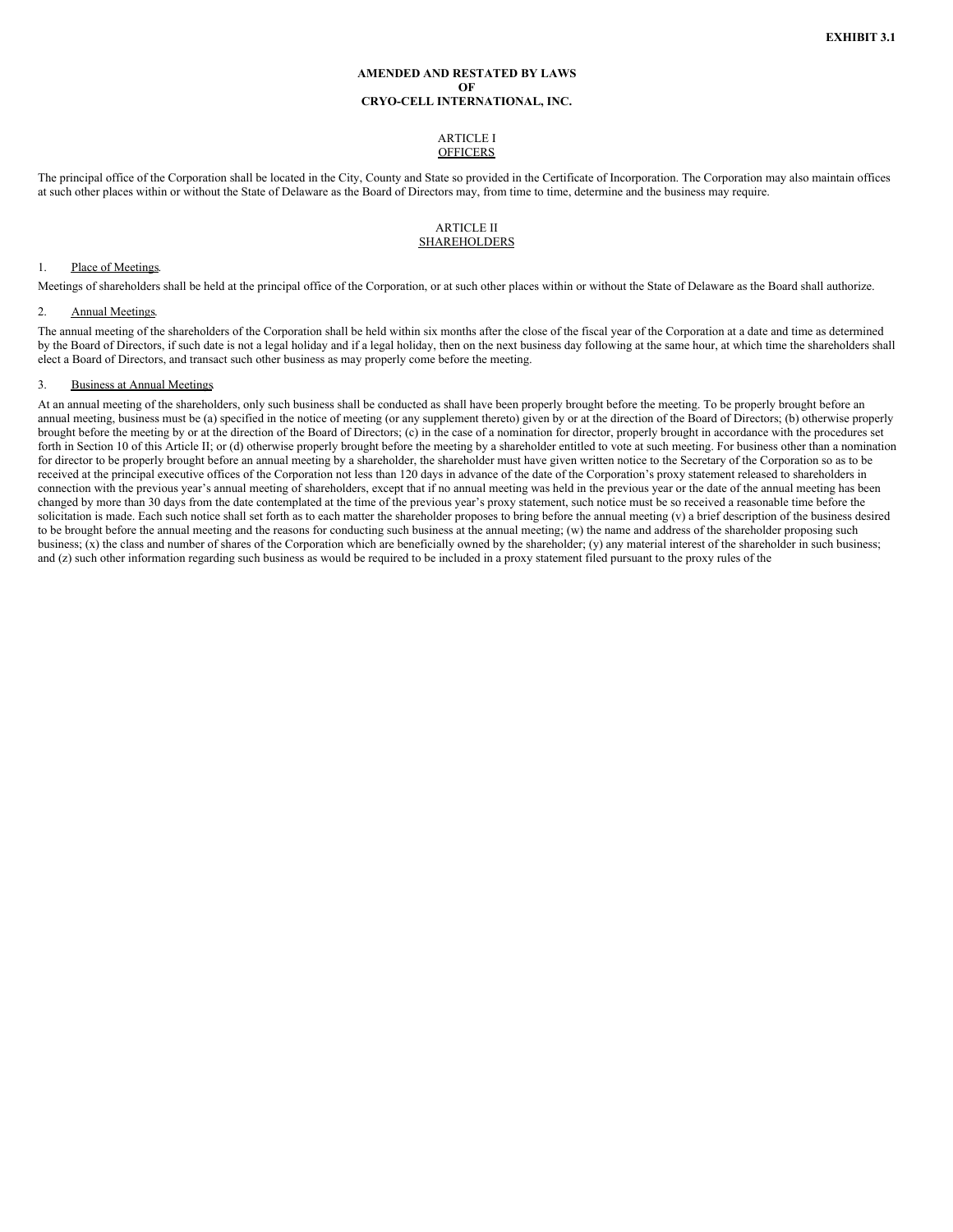#### **AMENDED AND RESTATED BY LAWS OF CRYO-CELL INTERNATIONAL, INC.**

ARTICLE I **OFFICERS** 

The principal office of the Corporation shall be located in the City, County and State so provided in the Certificate of Incorporation. The Corporation may also maintain offices at such other places within or without the State of Delaware as the Board of Directors may, from time to time, determine and the business may require.

# ARTICLE II **SHAREHOLDERS**

#### 1. Place of Meetings.

Meetings of shareholders shall be held at the principal office of the Corporation, or at such other places within or without the State of Delaware as the Board shall authorize.

#### 2. Annual Meetings.

The annual meeting of the shareholders of the Corporation shall be held within six months after the close of the fiscal year of the Corporation at a date and time as determined by the Board of Directors, if such date is not a legal holiday and if a legal holiday, then on the next business day following at the same hour, at which time the shareholders shall elect a Board of Directors, and transact such other business as may properly come before the meeting.

#### 3. Business at Annual Meetings.

At an annual meeting of the shareholders, only such business shall be conducted as shall have been properly brought before the meeting. To be properly brought before an annual meeting, business must be (a) specified in the notice of meeting (or any supplement thereto) given by or at the direction of the Board of Directors; (b) otherwise properly brought before the meeting by or at the direction of the Board of Directors; (c) in the case of a nomination for director, properly brought in accordance with the procedures set forth in Section 10 of this Article II; or (d) otherwise properly brought before the meeting by a shareholder entitled to vote at such meeting. For business other than a nomination for director to be properly brought before an annual meeting by a shareholder, the shareholder must have given written notice to the Secretary of the Corporation so as to be received at the principal executive offices of the Corporation not less than 120 days in advance of the date of the Corporation's proxy statement released to shareholders in connection with the previous year's annual meeting of shareholders, except that if no annual meeting was held in the previous year or the date of the annual meeting has been changed by more than 30 days from the date contemplated at the time of the previous year's proxy statement, such notice must be so received a reasonable time before the solicitation is made. Each such notice shall set forth as to each matter the shareholder proposes to bring before the annual meeting  $(v)$  a brief description of the business desired to be brought before the annual meeting and the reasons for conducting such business at the annual meeting; (w) the name and address of the shareholder proposing such business; (x) the class and number of shares of the Corporation which are beneficially owned by the shareholder; (y) any material interest of the shareholder in such business; and (z) such other information regarding such business as would be required to be included in a proxy statement filed pursuant to the proxy rules of the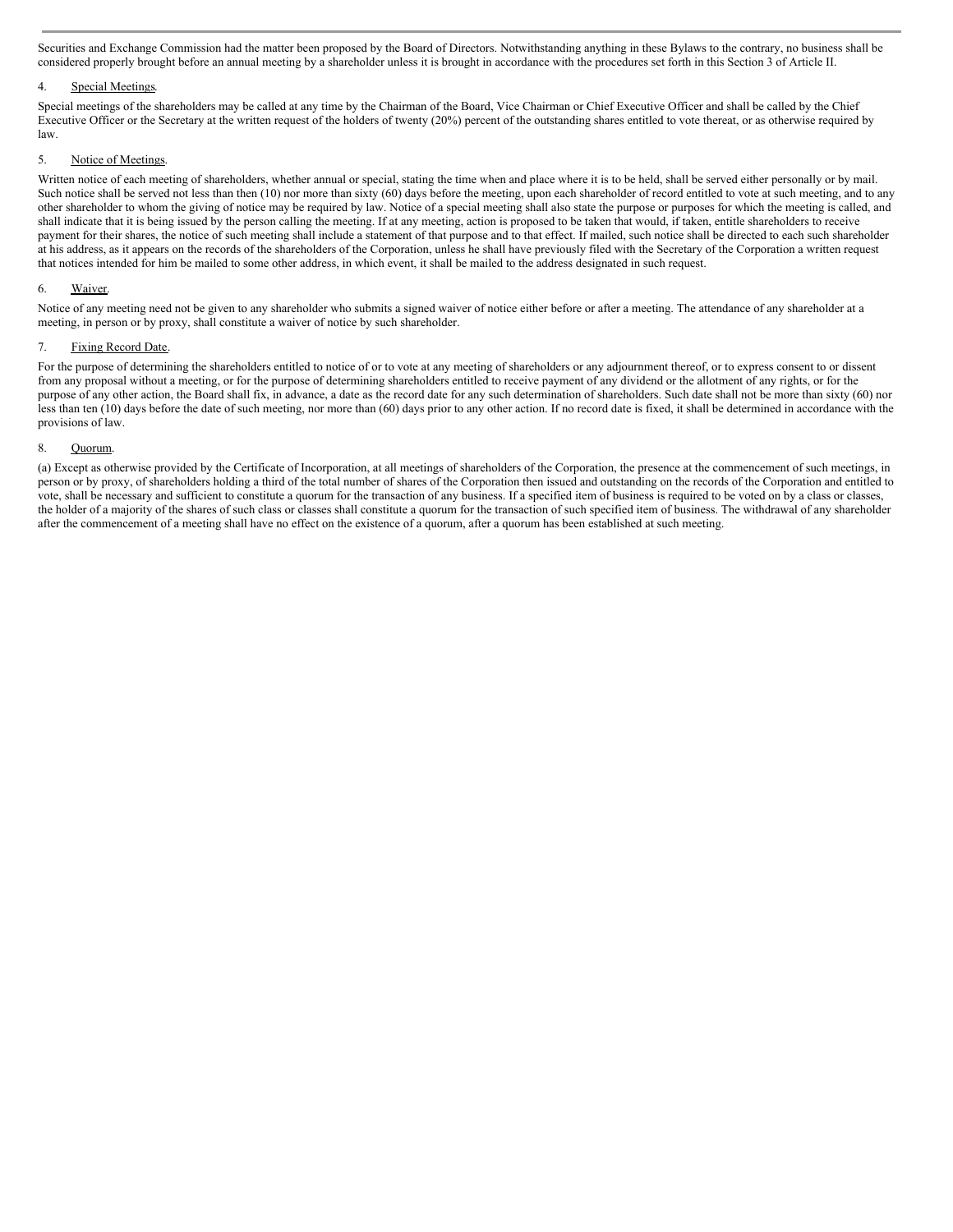Securities and Exchange Commission had the matter been proposed by the Board of Directors. Notwithstanding anything in these Bylaws to the contrary, no business shall be considered properly brought before an annual meeting by a shareholder unless it is brought in accordance with the procedures set forth in this Section 3 of Article II.

# 4. Special Meetings.

Special meetings of the shareholders may be called at any time by the Chairman of the Board, Vice Chairman or Chief Executive Officer and shall be called by the Chief Executive Officer or the Secretary at the written request of the holders of twenty (20%) percent of the outstanding shares entitled to vote thereat, or as otherwise required by law.

# 5. Notice of Meetings.

Written notice of each meeting of shareholders, whether annual or special, stating the time when and place where it is to be held, shall be served either personally or by mail. Such notice shall be served not less than then (10) nor more than sixty (60) days before the meeting, upon each shareholder of record entitled to vote at such meeting, and to any other shareholder to whom the giving of notice may be required by law. Notice of a special meeting shall also state the purpose or purposes for which the meeting is called, and shall indicate that it is being issued by the person calling the meeting. If at any meeting, action is proposed to be taken that would, if taken, entitle shareholders to receive payment for their shares, the notice of such meeting shall include a statement of that purpose and to that effect. If mailed, such notice shall be directed to each such shareholder at his address, as it appears on the records of the shareholders of the Corporation, unless he shall have previously filed with the Secretary of the Corporation a written request that notices intended for him be mailed to some other address, in which event, it shall be mailed to the address designated in such request.

# 6. Waiver.

Notice of any meeting need not be given to any shareholder who submits a signed waiver of notice either before or after a meeting. The attendance of any shareholder at a meeting, in person or by proxy, shall constitute a waiver of notice by such shareholder.

# 7. Fixing Record Date.

For the purpose of determining the shareholders entitled to notice of or to vote at any meeting of shareholders or any adjournment thereof, or to express consent to or dissent from any proposal without a meeting, or for the purpose of determining shareholders entitled to receive payment of any dividend or the allotment of any rights, or for the purpose of any other action, the Board shall fix, in advance, a date as the record date for any such determination of shareholders. Such date shall not be more than sixty (60) nor less than ten (10) days before the date of such meeting, nor more than (60) days prior to any other action. If no record date is fixed, it shall be determined in accordance with the provisions of law.

# 8. Quorum.

(a) Except as otherwise provided by the Certificate of Incorporation, at all meetings of shareholders of the Corporation, the presence at the commencement of such meetings, in person or by proxy, of shareholders holding a third of the total number of shares of the Corporation then issued and outstanding on the records of the Corporation and entitled to vote, shall be necessary and sufficient to constitute a quorum for the transaction of any business. If a specified item of business is required to be voted on by a class or classes, the holder of a majority of the shares of such class or classes shall constitute a quorum for the transaction of such specified item of business. The withdrawal of any shareholder after the commencement of a meeting shall have no effect on the existence of a quorum, after a quorum has been established at such meeting.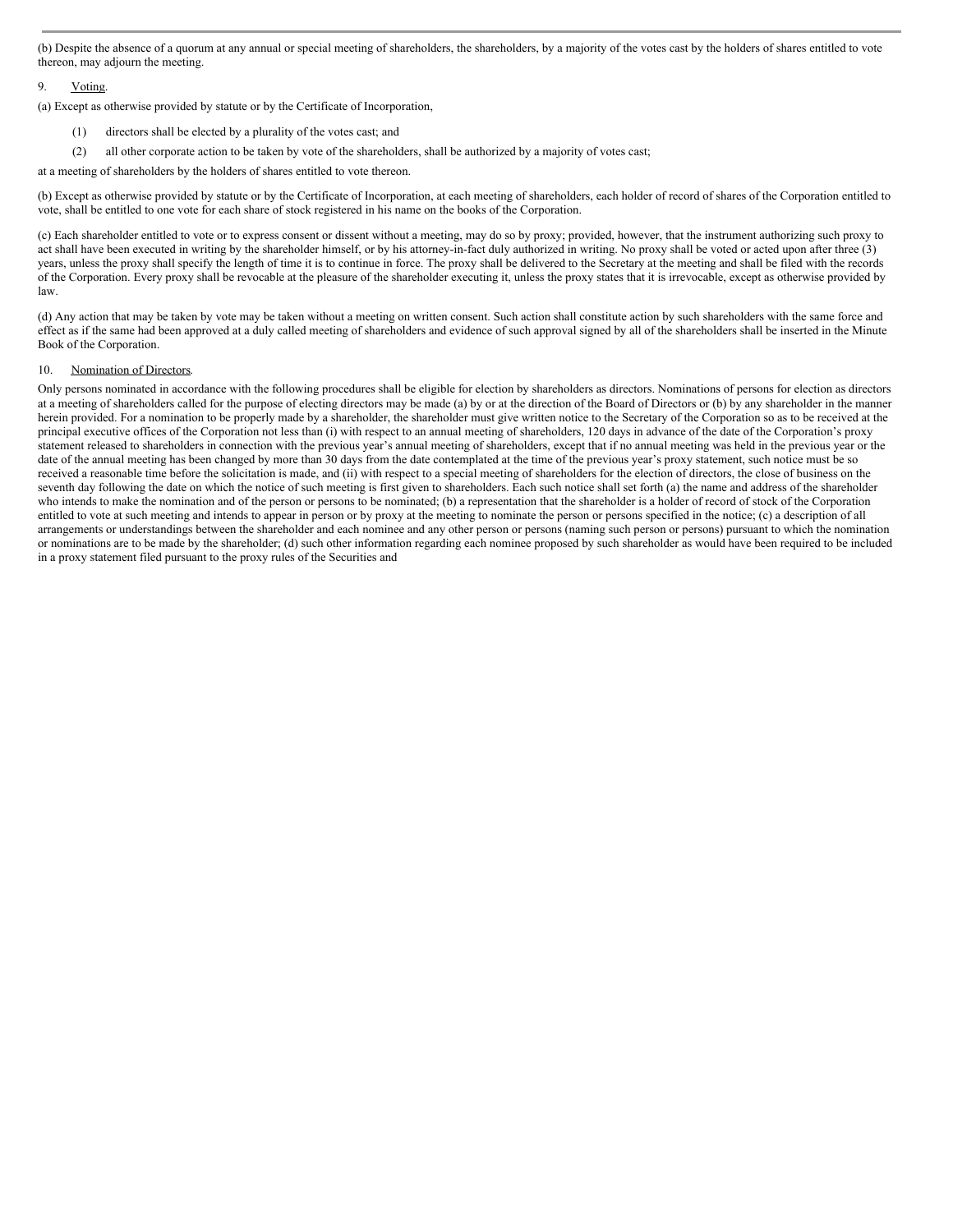(b) Despite the absence of a quorum at any annual or special meeting of shareholders, the shareholders, by a majority of the votes cast by the holders of shares entitled to vote thereon, may adjourn the meeting.

# 9. Voting.

(a) Except as otherwise provided by statute or by the Certificate of Incorporation,

- (1) directors shall be elected by a plurality of the votes cast; and
- (2) all other corporate action to be taken by vote of the shareholders, shall be authorized by a majority of votes cast;

at a meeting of shareholders by the holders of shares entitled to vote thereon.

(b) Except as otherwise provided by statute or by the Certificate of Incorporation, at each meeting of shareholders, each holder of record of shares of the Corporation entitled to vote, shall be entitled to one vote for each share of stock registered in his name on the books of the Corporation.

(c) Each shareholder entitled to vote or to express consent or dissent without a meeting, may do so by proxy; provided, however, that the instrument authorizing such proxy to act shall have been executed in writing by the shareholder himself, or by his attorney-in-fact duly authorized in writing. No proxy shall be voted or acted upon after three (3) years, unless the proxy shall specify the length of time it is to continue in force. The proxy shall be delivered to the Secretary at the meeting and shall be filed with the records of the Corporation. Every proxy shall be revocable at the pleasure of the shareholder executing it, unless the proxy states that it is irrevocable, except as otherwise provided by law.

(d) Any action that may be taken by vote may be taken without a meeting on written consent. Such action shall constitute action by such shareholders with the same force and effect as if the same had been approved at a duly called meeting of shareholders and evidence of such approval signed by all of the shareholders shall be inserted in the Minute Book of the Corporation.

# 10. Nomination of Directors.

Only persons nominated in accordance with the following procedures shall be eligible for election by shareholders as directors. Nominations of persons for election as directors at a meeting of shareholders called for the purpose of electing directors may be made (a) by or at the direction of the Board of Directors or (b) by any shareholder in the manner herein provided. For a nomination to be properly made by a shareholder, the shareholder must give written notice to the Secretary of the Corporation so as to be received at the principal executive offices of the Corporation not less than (i) with respect to an annual meeting of shareholders, 120 days in advance of the date of the Corporation's proxy statement released to shareholders in connection with the previous year's annual meeting of shareholders, except that if no annual meeting was held in the previous year or the date of the annual meeting has been changed by more than 30 days from the date contemplated at the time of the previous year's proxy statement, such notice must be so received a reasonable time before the solicitation is made, and (ii) with respect to a special meeting of shareholders for the election of directors, the close of business on the seventh day following the date on which the notice of such meeting is first given to shareholders. Each such notice shall set forth (a) the name and address of the shareholder who intends to make the nomination and of the person or persons to be nominated; (b) a representation that the shareholder is a holder of record of stock of the Corporation entitled to vote at such meeting and intends to appear in person or by proxy at the meeting to nominate the person or persons specified in the notice; (c) a description of all arrangements or understandings between the shareholder and each nominee and any other person or persons (naming such person or persons) pursuant to which the nomination or nominations are to be made by the shareholder; (d) such other information regarding each nominee proposed by such shareholder as would have been required to be included in a proxy statement filed pursuant to the proxy rules of the Securities and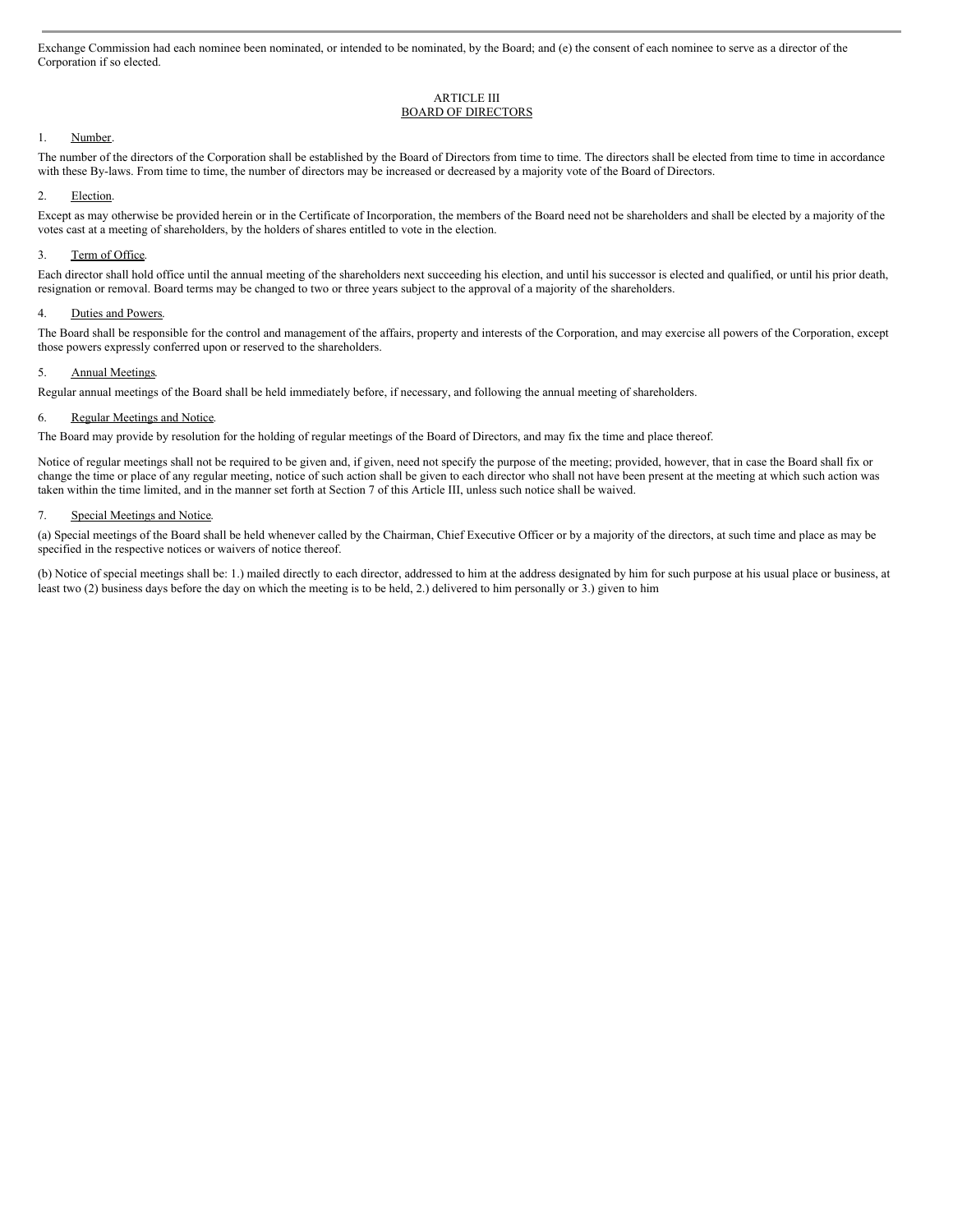Exchange Commission had each nominee been nominated, or intended to be nominated, by the Board; and (e) the consent of each nominee to serve as a director of the Corporation if so elected.

#### ARTICLE III BOARD OF DIRECTORS

# 1. Number.

The number of the directors of the Corporation shall be established by the Board of Directors from time to time. The directors shall be elected from time to time in accordance with these By-laws. From time to time, the number of directors may be increased or decreased by a majority vote of the Board of Directors.

# 2. Election.

Except as may otherwise be provided herein or in the Certificate of Incorporation, the members of the Board need not be shareholders and shall be elected by a majority of the votes cast at a meeting of shareholders, by the holders of shares entitled to vote in the election.

# 3. Term of Office.

Each director shall hold office until the annual meeting of the shareholders next succeeding his election, and until his successor is elected and qualified, or until his prior death, resignation or removal. Board terms may be changed to two or three years subject to the approval of a majority of the shareholders.

# 4. Duties and Powers.

The Board shall be responsible for the control and management of the affairs, property and interests of the Corporation, and may exercise all powers of the Corporation, except those powers expressly conferred upon or reserved to the shareholders.

# 5. Annual Meetings.

Regular annual meetings of the Board shall be held immediately before, if necessary, and following the annual meeting of shareholders.

# 6. Regular Meetings and Notice.

The Board may provide by resolution for the holding of regular meetings of the Board of Directors, and may fix the time and place thereof.

Notice of regular meetings shall not be required to be given and, if given, need not specify the purpose of the meeting; provided, however, that in case the Board shall fix or change the time or place of any regular meeting, notice of such action shall be given to each director who shall not have been present at the meeting at which such action was taken within the time limited, and in the manner set forth at Section 7 of this Article III, unless such notice shall be waived.

# 7. Special Meetings and Notice.

(a) Special meetings of the Board shall be held whenever called by the Chairman, Chief Executive Officer or by a majority of the directors, at such time and place as may be specified in the respective notices or waivers of notice thereof.

(b) Notice of special meetings shall be: 1.) mailed directly to each director, addressed to him at the address designated by him for such purpose at his usual place or business, at least two (2) business days before the day on which the meeting is to be held, 2.) delivered to him personally or 3.) given to him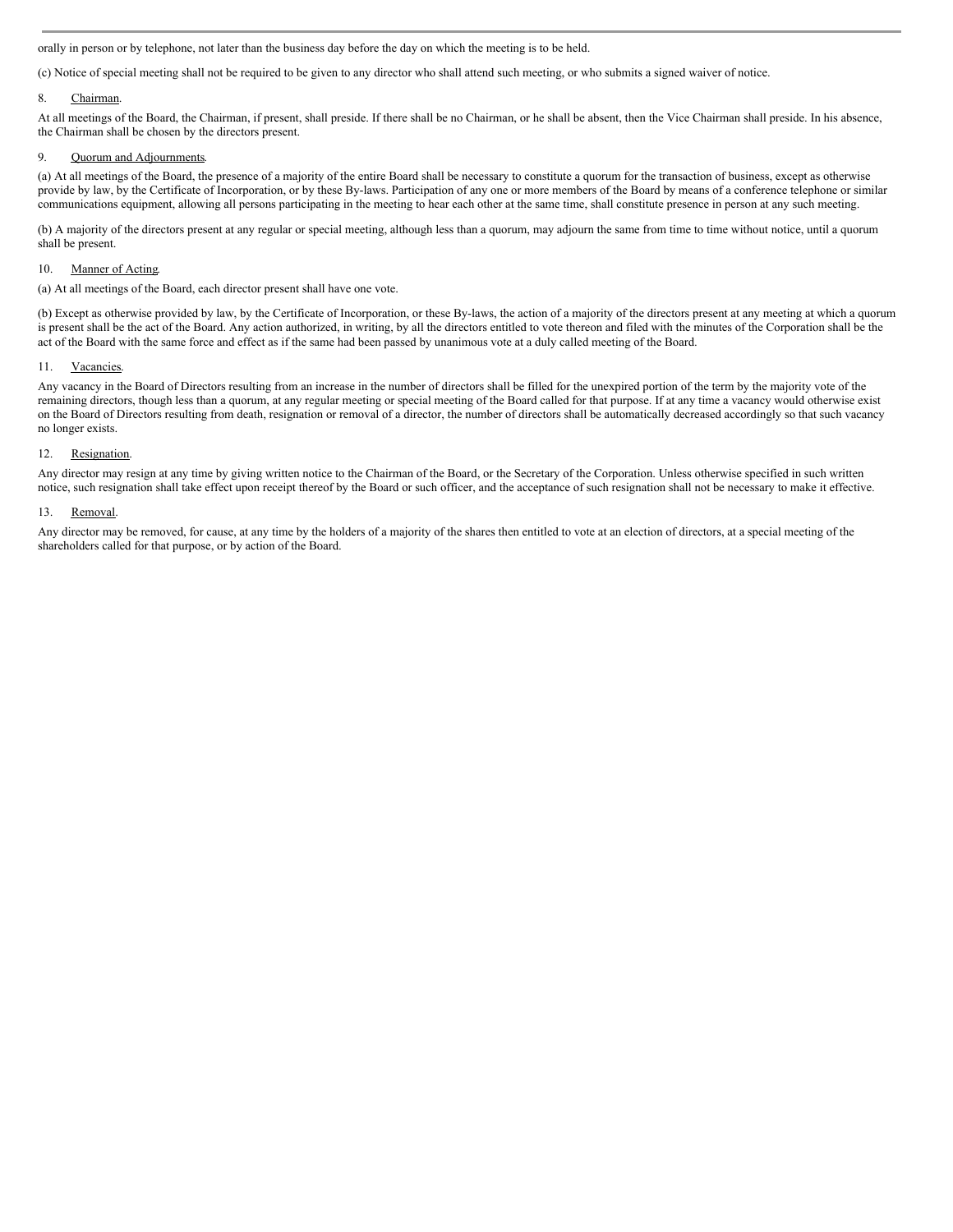orally in person or by telephone, not later than the business day before the day on which the meeting is to be held.

(c) Notice of special meeting shall not be required to be given to any director who shall attend such meeting, or who submits a signed waiver of notice.

#### 8. Chairman.

At all meetings of the Board, the Chairman, if present, shall preside. If there shall be no Chairman, or he shall be absent, then the Vice Chairman shall preside. In his absence, the Chairman shall be chosen by the directors present.

#### 9. Quorum and Adjournments.

(a) At all meetings of the Board, the presence of a majority of the entire Board shall be necessary to constitute a quorum for the transaction of business, except as otherwise provide by law, by the Certificate of Incorporation, or by these By-laws. Participation of any one or more members of the Board by means of a conference telephone or similar communications equipment, allowing all persons participating in the meeting to hear each other at the same time, shall constitute presence in person at any such meeting.

(b) A majority of the directors present at any regular or special meeting, although less than a quorum, may adjourn the same from time to time without notice, until a quorum shall be present.

# 10. Manner of Acting.

(a) At all meetings of the Board, each director present shall have one vote.

(b) Except as otherwise provided by law, by the Certificate of Incorporation, or these By-laws, the action of a majority of the directors present at any meeting at which a quorum is present shall be the act of the Board. Any action authorized, in writing, by all the directors entitled to vote thereon and filed with the minutes of the Corporation shall be the act of the Board with the same force and effect as if the same had been passed by unanimous vote at a duly called meeting of the Board.

#### 11. Vacancies.

Any vacancy in the Board of Directors resulting from an increase in the number of directors shall be filled for the unexpired portion of the term by the majority vote of the remaining directors, though less than a quorum, at any regular meeting or special meeting of the Board called for that purpose. If at any time a vacancy would otherwise exist on the Board of Directors resulting from death, resignation or removal of a director, the number of directors shall be automatically decreased accordingly so that such vacancy no longer exists.

#### 12. Resignation.

Any director may resign at any time by giving written notice to the Chairman of the Board, or the Secretary of the Corporation. Unless otherwise specified in such written notice, such resignation shall take effect upon receipt thereof by the Board or such officer, and the acceptance of such resignation shall not be necessary to make it effective.

#### 13. Removal.

Any director may be removed, for cause, at any time by the holders of a majority of the shares then entitled to vote at an election of directors, at a special meeting of the shareholders called for that purpose, or by action of the Board.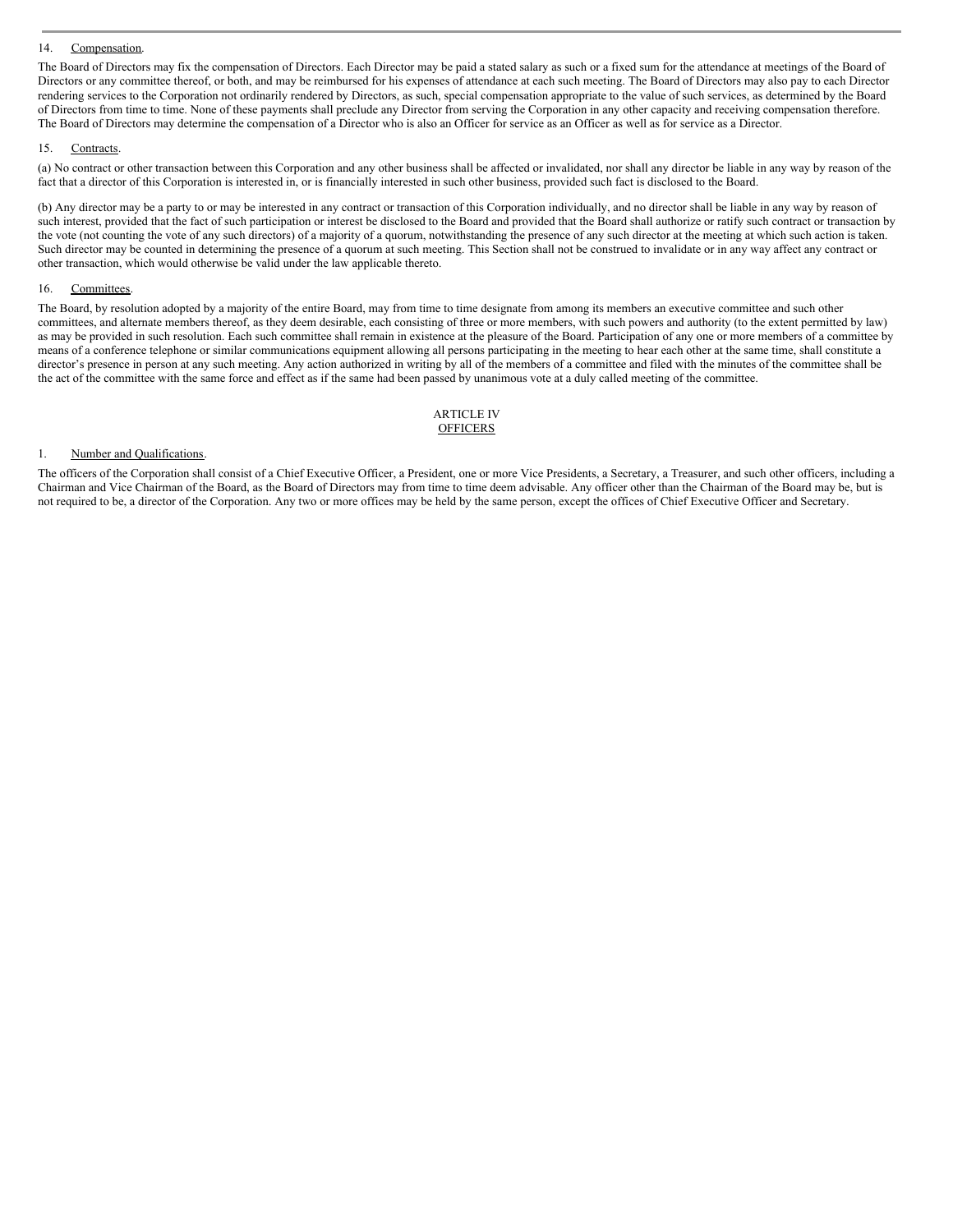### 14. Compensation.

The Board of Directors may fix the compensation of Directors. Each Director may be paid a stated salary as such or a fixed sum for the attendance at meetings of the Board of Directors or any committee thereof, or both, and may be reimbursed for his expenses of attendance at each such meeting. The Board of Directors may also pay to each Director rendering services to the Corporation not ordinarily rendered by Directors, as such, special compensation appropriate to the value of such services, as determined by the Board of Directors from time to time. None of these payments shall preclude any Director from serving the Corporation in any other capacity and receiving compensation therefore. The Board of Directors may determine the compensation of a Director who is also an Officer for service as an Officer as well as for service as a Director.

#### 15. Contracts.

(a) No contract or other transaction between this Corporation and any other business shall be affected or invalidated, nor shall any director be liable in any way by reason of the fact that a director of this Corporation is interested in, or is financially interested in such other business, provided such fact is disclosed to the Board.

(b) Any director may be a party to or may be interested in any contract or transaction of this Corporation individually, and no director shall be liable in any way by reason of such interest, provided that the fact of such participation or interest be disclosed to the Board and provided that the Board shall authorize or ratify such contract or transaction by the vote (not counting the vote of any such directors) of a majority of a quorum, notwithstanding the presence of any such director at the meeting at which such action is taken. Such director may be counted in determining the presence of a quorum at such meeting. This Section shall not be construed to invalidate or in any way affect any contract or other transaction, which would otherwise be valid under the law applicable thereto.

#### 16. Committees.

The Board, by resolution adopted by a majority of the entire Board, may from time to time designate from among its members an executive committee and such other committees, and alternate members thereof, as they deem desirable, each consisting of three or more members, with such powers and authority (to the extent permitted by law) as may be provided in such resolution. Each such committee shall remain in existence at the pleasure of the Board. Participation of any one or more members of a committee by means of a conference telephone or similar communications equipment allowing all persons participating in the meeting to hear each other at the same time, shall constitute a director's presence in person at any such meeting. Any action authorized in writing by all of the members of a committee and filed with the minutes of the committee shall be the act of the committee with the same force and effect as if the same had been passed by unanimous vote at a duly called meeting of the committee.

# ARTICLE IV **OFFICERS**

# 1. Number and Qualifications.

The officers of the Corporation shall consist of a Chief Executive Officer, a President, one or more Vice Presidents, a Secretary, a Treasurer, and such other officers, including a Chairman and Vice Chairman of the Board, as the Board of Directors may from time to time deem advisable. Any officer other than the Chairman of the Board may be, but is not required to be, a director of the Corporation. Any two or more offices may be held by the same person, except the offices of Chief Executive Officer and Secretary.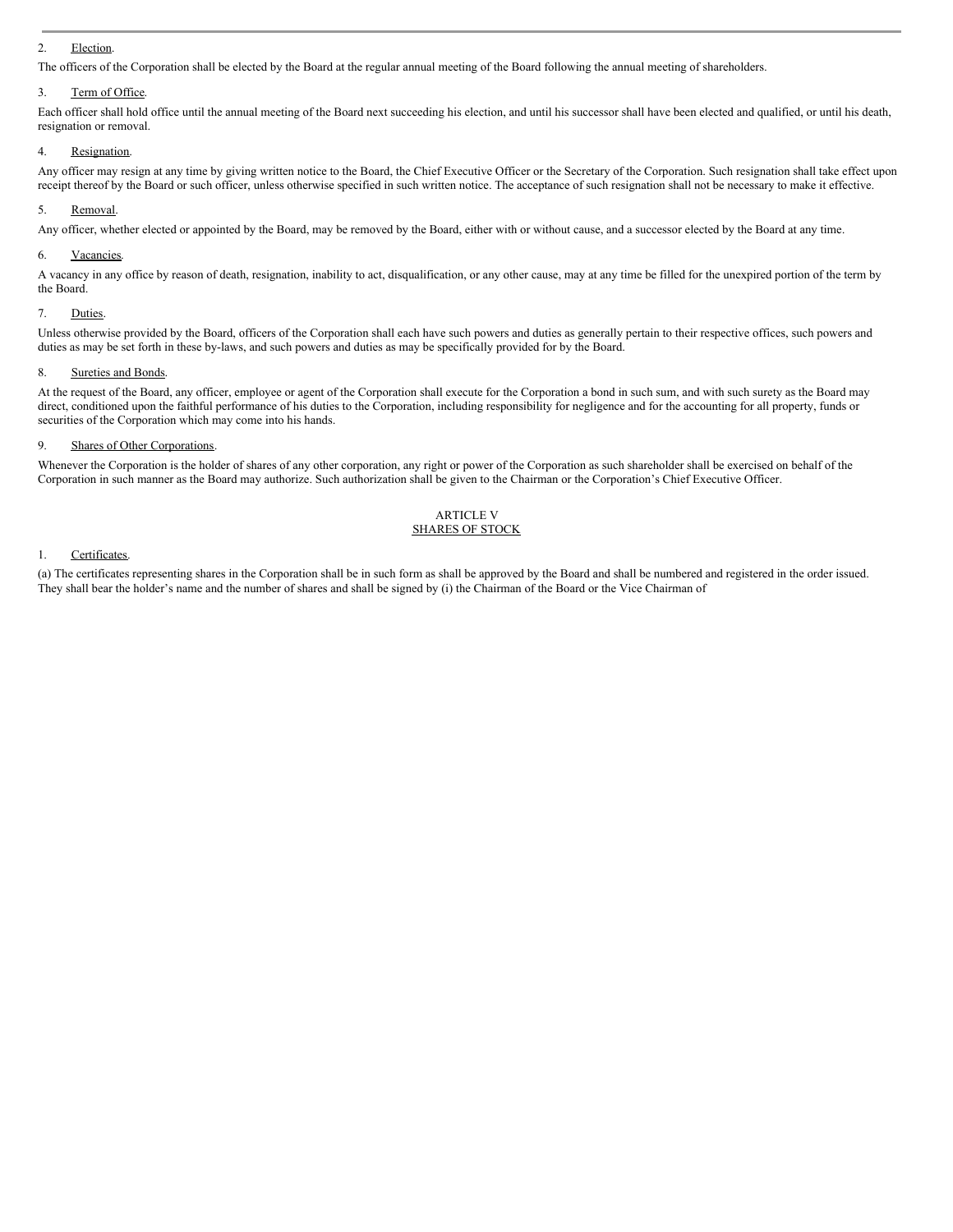# 2. Election.

The officers of the Corporation shall be elected by the Board at the regular annual meeting of the Board following the annual meeting of shareholders.

# 3. Term of Office.

Each officer shall hold office until the annual meeting of the Board next succeeding his election, and until his successor shall have been elected and qualified, or until his death, resignation or removal.

# 4. Resignation.

Any officer may resign at any time by giving written notice to the Board, the Chief Executive Officer or the Secretary of the Corporation. Such resignation shall take effect upon receipt thereof by the Board or such officer, unless otherwise specified in such written notice. The acceptance of such resignation shall not be necessary to make it effective.

# 5. Removal.

Any officer, whether elected or appointed by the Board, may be removed by the Board, either with or without cause, and a successor elected by the Board at any time.

# 6. Vacancies.

A vacancy in any office by reason of death, resignation, inability to act, disqualification, or any other cause, may at any time be filled for the unexpired portion of the term by the Board.

# 7. Duties.

Unless otherwise provided by the Board, officers of the Corporation shall each have such powers and duties as generally pertain to their respective offices, such powers and duties as may be set forth in these by-laws, and such powers and duties as may be specifically provided for by the Board.

# 8. Sureties and Bonds.

At the request of the Board, any officer, employee or agent of the Corporation shall execute for the Corporation a bond in such sum, and with such surety as the Board may direct, conditioned upon the faithful performance of his duties to the Corporation, including responsibility for negligence and for the accounting for all property, funds or securities of the Corporation which may come into his hands.

# 9. Shares of Other Corporations.

Whenever the Corporation is the holder of shares of any other corporation, any right or power of the Corporation as such shareholder shall be exercised on behalf of the Corporation in such manner as the Board may authorize. Such authorization shall be given to the Chairman or the Corporation's Chief Executive Officer.

# ARTICLE V SHARES OF STOCK

# 1. Certificates.

(a) The certificates representing shares in the Corporation shall be in such form as shall be approved by the Board and shall be numbered and registered in the order issued. They shall bear the holder's name and the number of shares and shall be signed by (i) the Chairman of the Board or the Vice Chairman of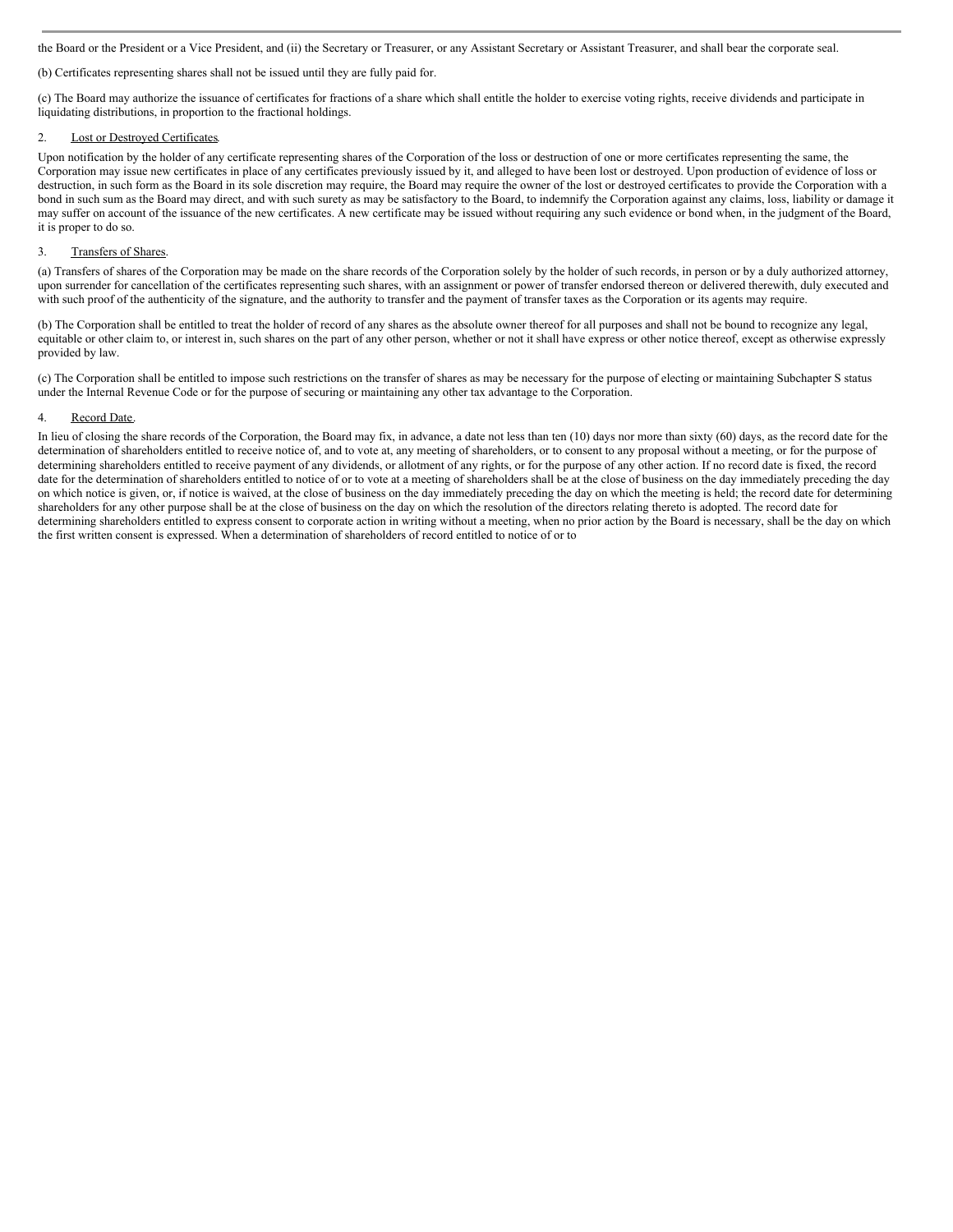the Board or the President or a Vice President, and (ii) the Secretary or Treasurer, or any Assistant Secretary or Assistant Treasurer, and shall bear the corporate seal.

# (b) Certificates representing shares shall not be issued until they are fully paid for.

(c) The Board may authorize the issuance of certificates for fractions of a share which shall entitle the holder to exercise voting rights, receive dividends and participate in liquidating distributions, in proportion to the fractional holdings.

#### 2. Lost or Destroyed Certificates.

Upon notification by the holder of any certificate representing shares of the Corporation of the loss or destruction of one or more certificates representing the same, the Corporation may issue new certificates in place of any certificates previously issued by it, and alleged to have been lost or destroyed. Upon production of evidence of loss or destruction, in such form as the Board in its sole discretion may require, the Board may require the owner of the lost or destroyed certificates to provide the Corporation with a bond in such sum as the Board may direct, and with such surety as may be satisfactory to the Board, to indemnify the Corporation against any claims, loss, liability or damage it may suffer on account of the issuance of the new certificates. A new certificate may be issued without requiring any such evidence or bond when, in the judgment of the Board, it is proper to do so.

#### 3. Transfers of Shares.

(a) Transfers of shares of the Corporation may be made on the share records of the Corporation solely by the holder of such records, in person or by a duly authorized attorney, upon surrender for cancellation of the certificates representing such shares, with an assignment or power of transfer endorsed thereon or delivered therewith, duly executed and with such proof of the authenticity of the signature, and the authority to transfer and the payment of transfer taxes as the Corporation or its agents may require.

(b) The Corporation shall be entitled to treat the holder of record of any shares as the absolute owner thereof for all purposes and shall not be bound to recognize any legal, equitable or other claim to, or interest in, such shares on the part of any other person, whether or not it shall have express or other notice thereof, except as otherwise expressly provided by law.

(c) The Corporation shall be entitled to impose such restrictions on the transfer of shares as may be necessary for the purpose of electing or maintaining Subchapter S status under the Internal Revenue Code or for the purpose of securing or maintaining any other tax advantage to the Corporation.

#### 4. Record Date.

In lieu of closing the share records of the Corporation, the Board may fix, in advance, a date not less than ten (10) days nor more than sixty (60) days, as the record date for the determination of shareholders entitled to receive notice of, and to vote at, any meeting of shareholders, or to consent to any proposal without a meeting, or for the purpose of determining shareholders entitled to receive payment of any dividends, or allotment of any rights, or for the purpose of any other action. If no record date is fixed, the record date for the determination of shareholders entitled to notice of or to vote at a meeting of shareholders shall be at the close of business on the day immediately preceding the day on which notice is given, or, if notice is waived, at the close of business on the day immediately preceding the day on which the meeting is held; the record date for determining shareholders for any other purpose shall be at the close of business on the day on which the resolution of the directors relating thereto is adopted. The record date for determining shareholders entitled to express consent to corporate action in writing without a meeting, when no prior action by the Board is necessary, shall be the day on which the first written consent is expressed. When a determination of shareholders of record entitled to notice of or to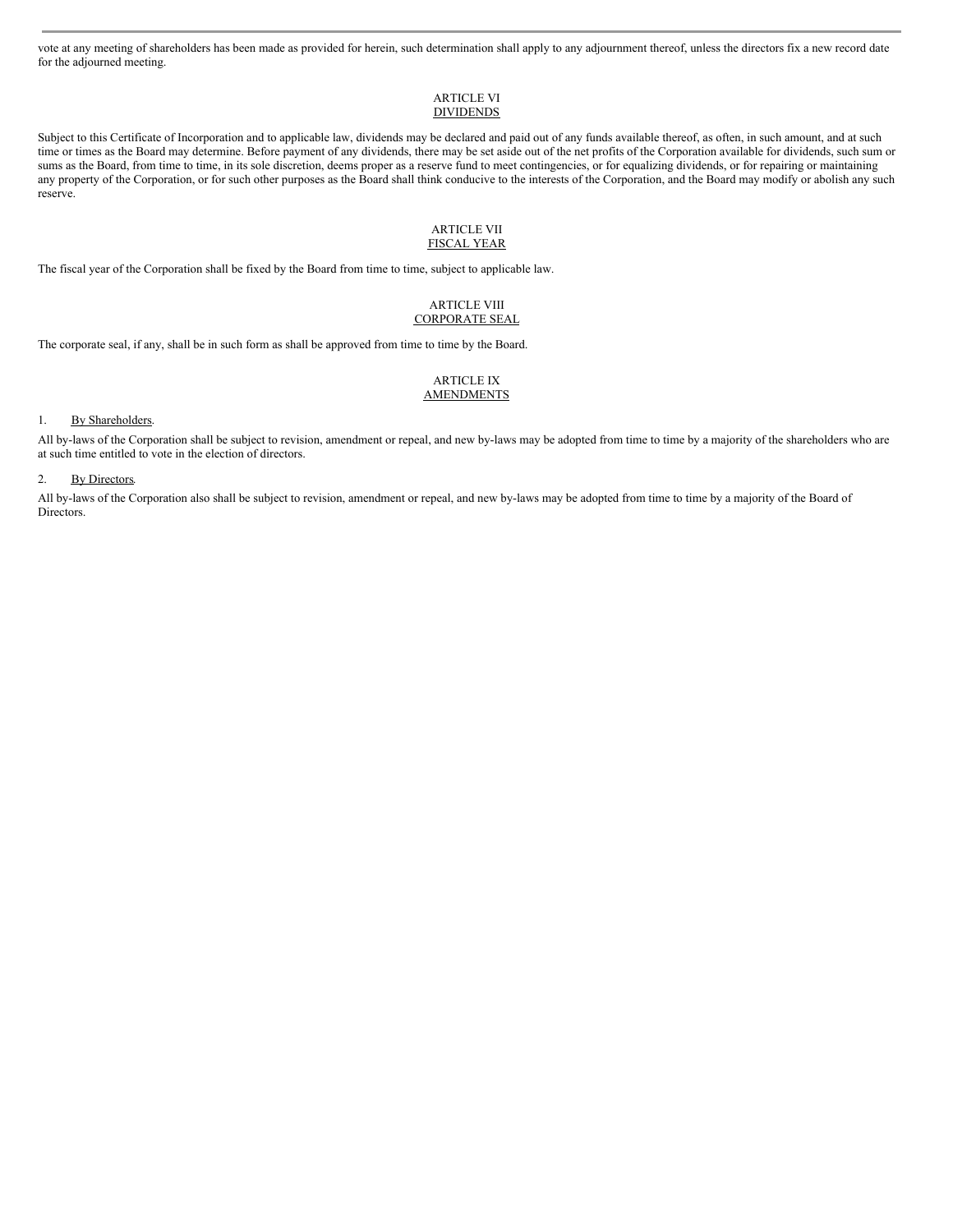vote at any meeting of shareholders has been made as provided for herein, such determination shall apply to any adjournment thereof, unless the directors fix a new record date for the adjourned meeting.

### ARTICLE VI DIVIDENDS

Subject to this Certificate of Incorporation and to applicable law, dividends may be declared and paid out of any funds available thereof, as often, in such amount, and at such time or times as the Board may determine. Before payment of any dividends, there may be set aside out of the net profits of the Corporation available for dividends, such sum or sums as the Board, from time to time, in its sole discretion, deems proper as a reserve fund to meet contingencies, or for equalizing dividends, or for repairing or maintaining any property of the Corporation, or for such other purposes as the Board shall think conducive to the interests of the Corporation, and the Board may modify or abolish any such reserve.

# ARTICLE VII FISCAL YEAR

The fiscal year of the Corporation shall be fixed by the Board from time to time, subject to applicable law.

# ARTICLE VIII CORPORATE SEAL

The corporate seal, if any, shall be in such form as shall be approved from time to time by the Board.

# ARTICLE IX **AMENDMENTS**

#### 1. By Shareholders.

All by-laws of the Corporation shall be subject to revision, amendment or repeal, and new by-laws may be adopted from time to time by a majority of the shareholders who are at such time entitled to vote in the election of directors.

# 2. By Directors.

All by-laws of the Corporation also shall be subject to revision, amendment or repeal, and new by-laws may be adopted from time to time by a majority of the Board of Directors.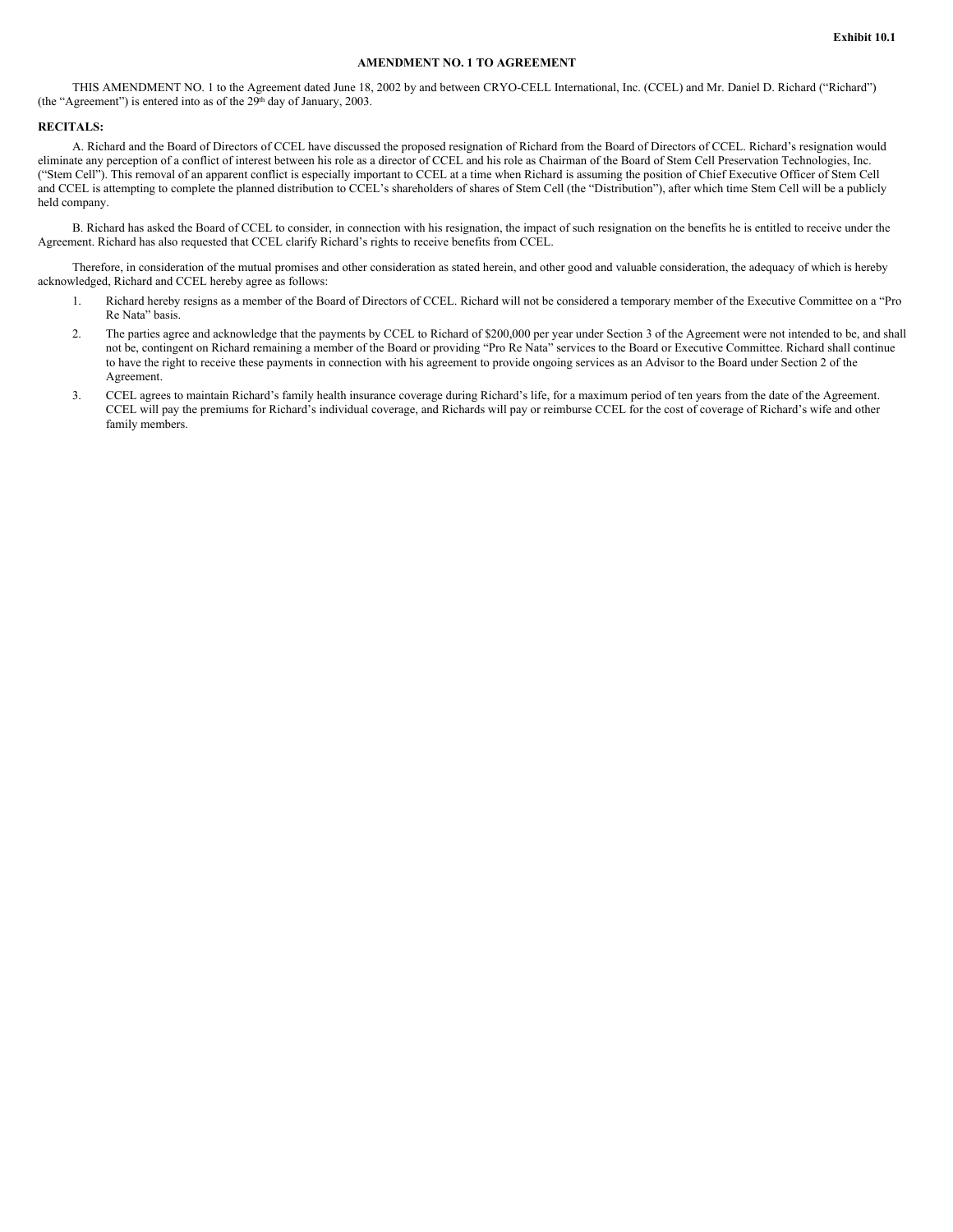# **AMENDMENT NO. 1 TO AGREEMENT**

THIS AMENDMENT NO. 1 to the Agreement dated June 18, 2002 by and between CRYO-CELL International, Inc. (CCEL) and Mr. Daniel D. Richard ("Richard") (the "Agreement") is entered into as of the  $29<sup>th</sup>$  day of January, 2003.

#### **RECITALS:**

A. Richard and the Board of Directors of CCEL have discussed the proposed resignation of Richard from the Board of Directors of CCEL. Richard's resignation would eliminate any perception of a conflict of interest between his role as a director of CCEL and his role as Chairman of the Board of Stem Cell Preservation Technologies, Inc. ("Stem Cell"). This removal of an apparent conflict is especially important to CCEL at a time when Richard is assuming the position of Chief Executive Officer of Stem Cell and CCEL is attempting to complete the planned distribution to CCEL's shareholders of shares of Stem Cell (the "Distribution"), after which time Stem Cell will be a publicly held company.

B. Richard has asked the Board of CCEL to consider, in connection with his resignation, the impact of such resignation on the benefits he is entitled to receive under the Agreement. Richard has also requested that CCEL clarify Richard's rights to receive benefits from CCEL.

Therefore, in consideration of the mutual promises and other consideration as stated herein, and other good and valuable consideration, the adequacy of which is hereby acknowledged, Richard and CCEL hereby agree as follows:

- 1. Richard hereby resigns as a member of the Board of Directors of CCEL. Richard will not be considered a temporary member of the Executive Committee on a "Pro Re Nata" basis.
- 2. The parties agree and acknowledge that the payments by CCEL to Richard of \$200,000 per year under Section 3 of the Agreement were not intended to be, and shall not be, contingent on Richard remaining a member of the Board or providing "Pro Re Nata" services to the Board or Executive Committee. Richard shall continue to have the right to receive these payments in connection with his agreement to provide ongoing services as an Advisor to the Board under Section 2 of the Agreement.
- 3. CCEL agrees to maintain Richard's family health insurance coverage during Richard's life, for a maximum period of ten years from the date of the Agreement. CCEL will pay the premiums for Richard's individual coverage, and Richards will pay or reimburse CCEL for the cost of coverage of Richard's wife and other family members.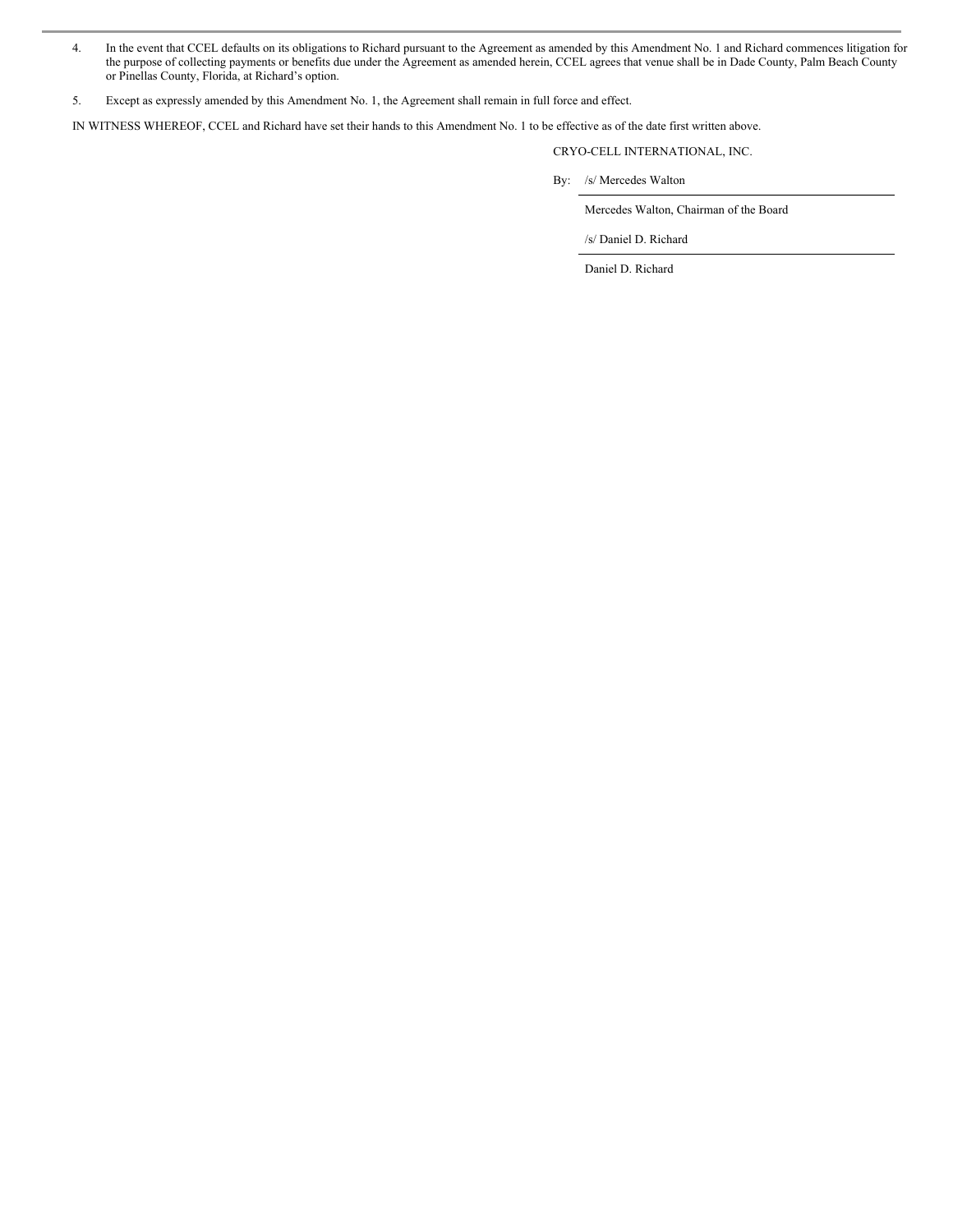- 4. In the event that CCEL defaults on its obligations to Richard pursuant to the Agreement as amended by this Amendment No. 1 and Richard commences litigation for the purpose of collecting payments or benefits due under the Agreement as amended herein, CCEL agrees that venue shall be in Dade County, Palm Beach County or Pinellas County, Florida, at Richard's option.
- 5. Except as expressly amended by this Amendment No. 1, the Agreement shall remain in full force and effect.

IN WITNESS WHEREOF, CCEL and Richard have set their hands to this Amendment No. 1 to be effective as of the date first written above.

CRYO-CELL INTERNATIONAL, INC.

By: /s/ Mercedes Walton

Mercedes Walton, Chairman of the Board

/s/ Daniel D. Richard

Daniel D. Richard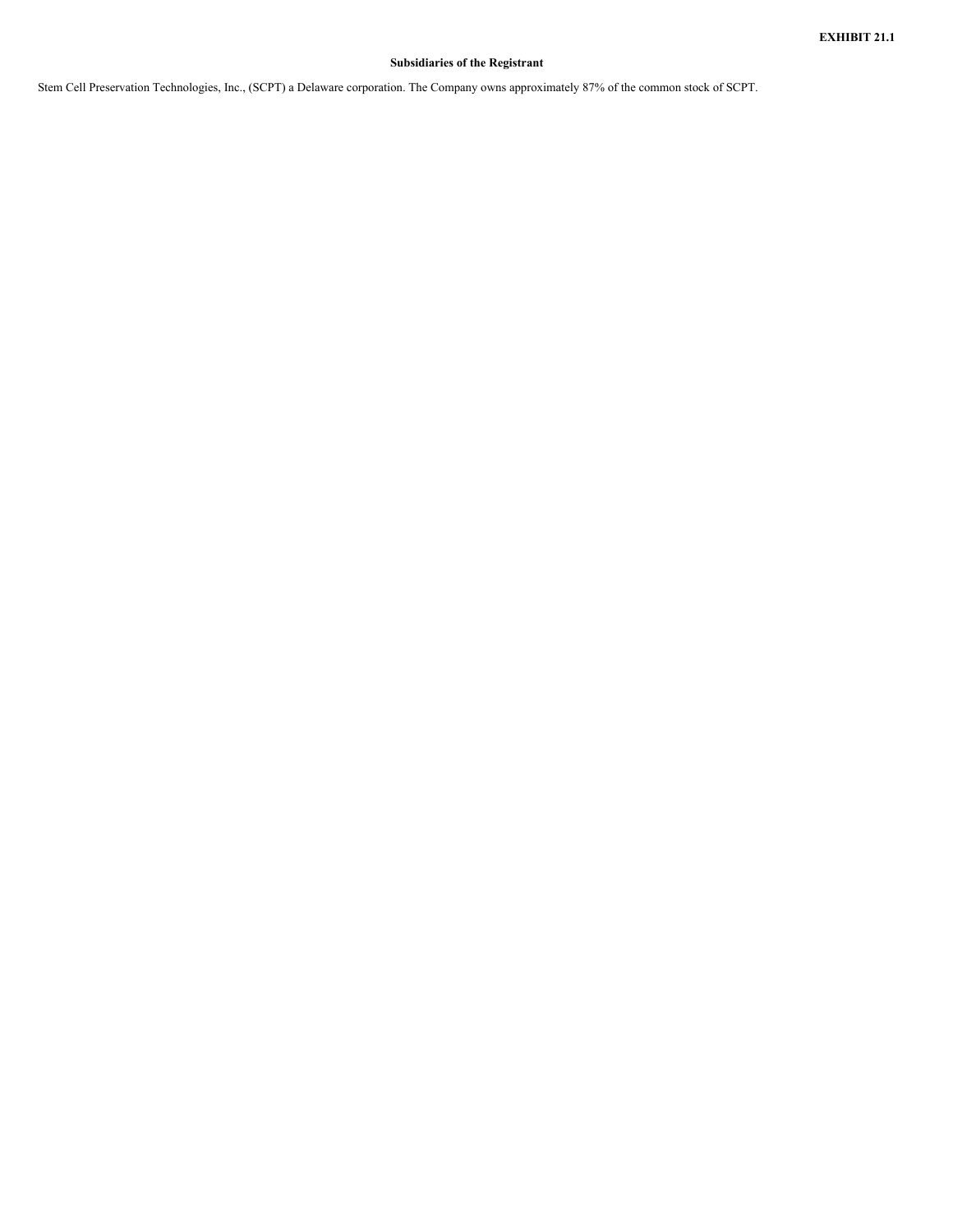# **Subsidiaries of the Registrant**

Stem Cell Preservation Technologies, Inc., (SCPT) a Delaware corporation. The Company owns approximately 87% of the common stock of SCPT.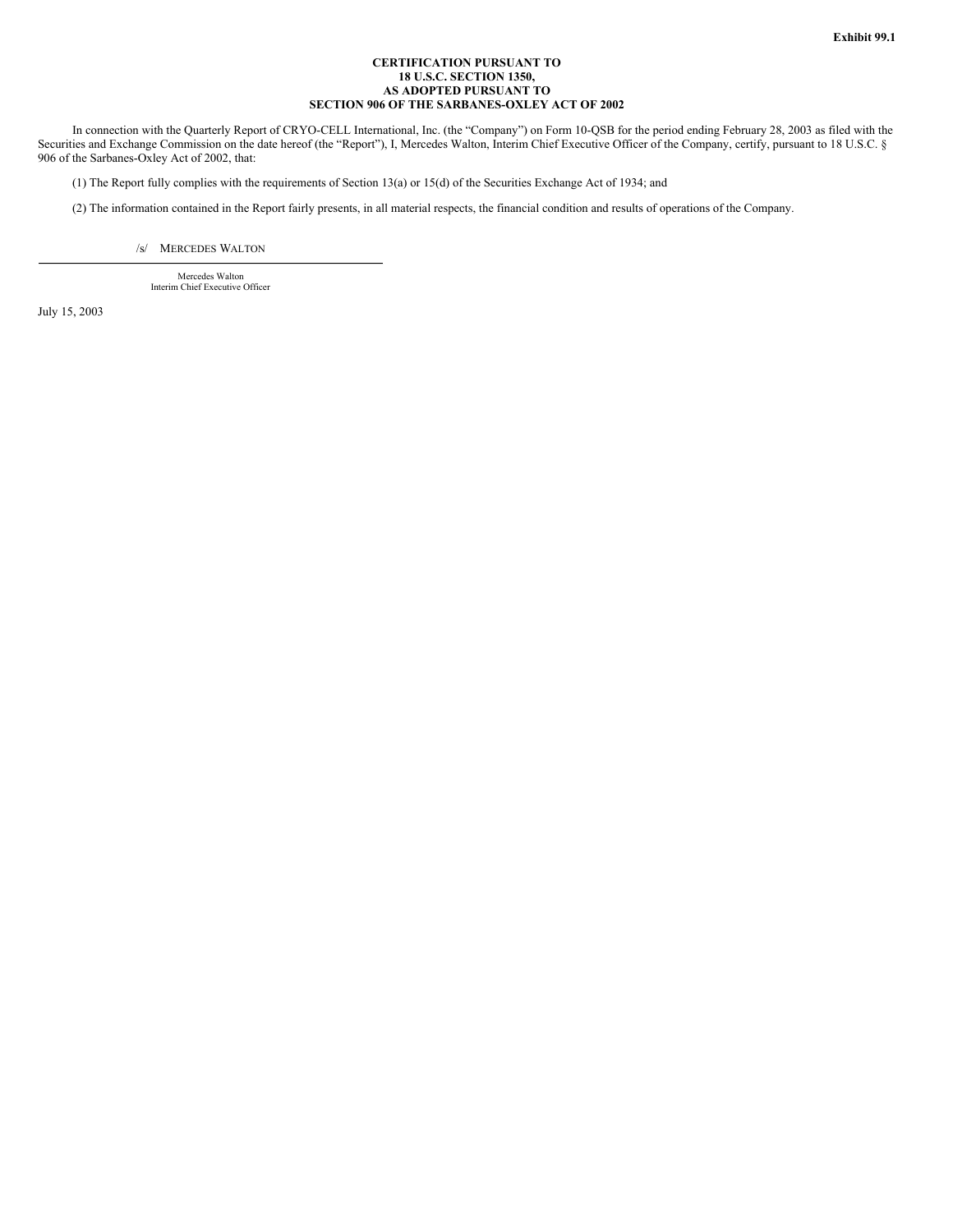# **CERTIFICATION PURSUANT TO 18 U.S.C. SECTION 1350, AS ADOPTED PURSUANT TO SECTION 906 OF THE SARBANES-OXLEY ACT OF 2002**

In connection with the Quarterly Report of CRYO-CELL International, Inc. (the "Company") on Form 10-QSB for the period ending February 28, 2003 as filed with the Securities and Exchange Commission on the date hereof (the "Report"), I, Mercedes Walton, Interim Chief Executive Officer of the Company, certify, pursuant to 18 U.S.C. § 906 of the Sarbanes-Oxley Act of 2002, that:

(1) The Report fully complies with the requirements of Section 13(a) or 15(d) of the Securities Exchange Act of 1934; and

(2) The information contained in the Report fairly presents, in all material respects, the financial condition and results of operations of the Company.

/s/ MERCEDES WALTON

Mercedes Walton Interim Chief Executive Officer

July 15, 2003